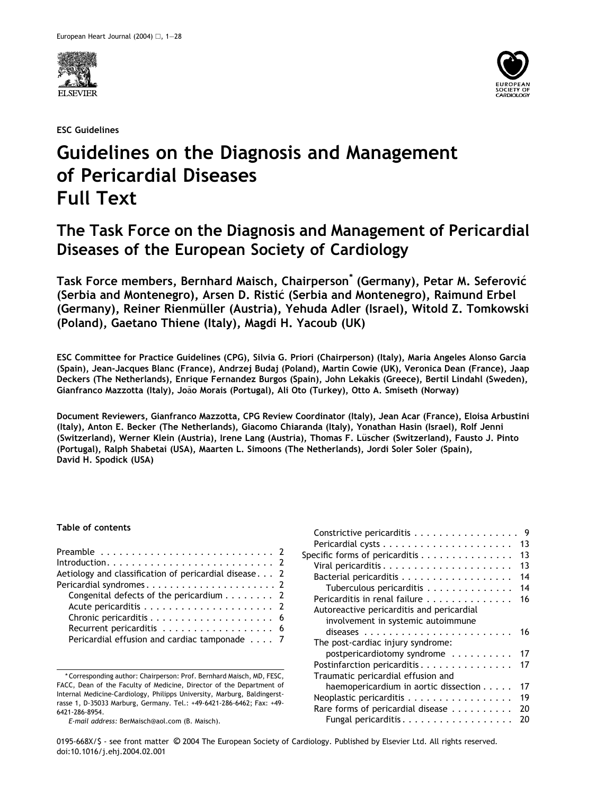



ESC Guidelines

# Guidelines on the Diagnosis and Management of Pericardial Diseases Full Text

## The Task Force on the Diagnosis and Management of Pericardial Diseases of the European Society of Cardiology

Task Force members, Bernhard Maisch, Chairperson<sup>\*</sup> (Germany), Petar M. Seferović (Serbia and Montenegro), Arsen D. Ristic (Serbia and Montenegro), Raimund Erbel (Germany), Reiner Rienmüller (Austria), Yehuda Adler (Israel), Witold Z. Tomkowski (Poland), Gaetano Thiene (Italy), Magdi H. Yacoub (UK)

ESC Committee for Practice Guidelines (CPG), Silvia G. Priori (Chairperson) (Italy), Maria Angeles Alonso Garcia (Spain), Jean-Jacques Blanc (France), Andrzej Budaj (Poland), Martin Cowie (UK), Veronica Dean (France), Jaap Deckers (The Netherlands), Enrique Fernandez Burgos (Spain), John Lekakis (Greece), Bertil Lindahl (Sweden), Gianfranco Mazzotta (Italy), João Morais (Portugal), Ali Oto (Turkey), Otto A. Smiseth (Norway)

Document Reviewers, Gianfranco Mazzotta, CPG Review Coordinator (Italy), Jean Acar (France), Eloisa Arbustini (Italy), Anton E. Becker (The Netherlands), Giacomo Chiaranda (Italy), Yonathan Hasin (Israel), Rolf Jenni (Switzerland), Werner Klein (Austria), Irene Lang (Austria), Thomas F. Lüscher (Switzerland), Fausto J. Pinto (Portugal), Ralph Shabetai (USA), Maarten L. Simoons (The Netherlands), Jordi Soler Soler (Spain), David H. Spodick (USA)

#### Table of contents

| Aetiology and classification of pericardial disease 2   |  |
|---------------------------------------------------------|--|
|                                                         |  |
| Congenital defects of the pericardium $\ldots \ldots$ 2 |  |
|                                                         |  |
|                                                         |  |
| Recurrent pericarditis 6                                |  |
| Pericardial effusion and cardiac tamponade 7            |  |

| Constrictive pericarditis                                   | - 9 |
|-------------------------------------------------------------|-----|
|                                                             | 13  |
| Specific forms of pericarditis                              | 13  |
|                                                             | 13  |
| Bacterial pericarditis                                      | 14  |
| Tuberculous pericarditis                                    | 14  |
| Pericarditis in renal failure                               | 16  |
| Autoreactive pericarditis and pericardial                   |     |
| involvement in systemic autoimmune                          |     |
| diseases $\ldots \ldots \ldots \ldots \ldots \ldots \ldots$ | 16  |
| The post-cardiac injury syndrome:                           |     |
| postpericardiotomy syndrome                                 | 17  |
| Postinfarction pericarditis                                 | 17  |
| Traumatic pericardial effusion and                          |     |
| haemopericardium in aortic dissection                       | 17  |
| Neoplastic pericarditis                                     | 19  |
| Rare forms of pericardial disease                           | 20  |
| Fungal pericarditis                                         | 20  |
|                                                             |     |

0195-668X/\$ - see front matter © 2004 The European Society of Cardiology. Published by Elsevier Ltd. All rights reserved. doi:10.1016/j.ehj.2004.02.001

<sup>\*</sup> Corresponding author: Chairperson: Prof. Bernhard Maisch, MD, FESC, FACC, Dean of the Faculty of Medicine, Director of the Department of Internal Medicine-Cardiology, Philipps University, Marburg, Baldingerstrasse 1, D-35033 Marburg, Germany. Tel.: +49-6421-286-6462; Fax: +49- 6421-286-8954.

E-mail address: BerMaisch@aol.com (B. Maisch).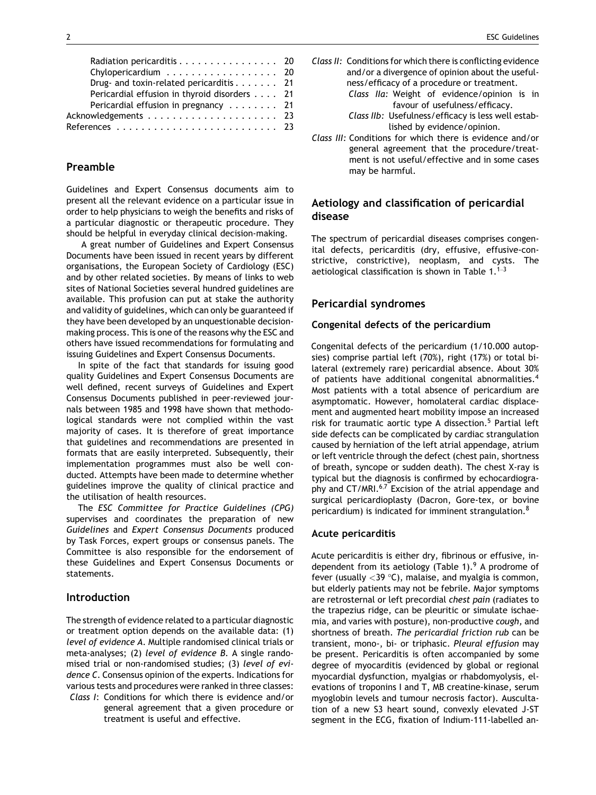| Chylopericardium 20<br>Drug- and toxin-related pericarditis 21<br>Pericardial effusion in thyroid disorders 21<br>Pericardial effusion in pregnancy 21 | Radiation pericarditis 20 |  |
|--------------------------------------------------------------------------------------------------------------------------------------------------------|---------------------------|--|
|                                                                                                                                                        |                           |  |
|                                                                                                                                                        |                           |  |
|                                                                                                                                                        |                           |  |
|                                                                                                                                                        |                           |  |
|                                                                                                                                                        |                           |  |
|                                                                                                                                                        |                           |  |

## Preamble

Guidelines and Expert Consensus documents aim to present all the relevant evidence on a particular issue in order to help physicians to weigh the benefits and risks of a particular diagnostic or therapeutic procedure. They should be helpful in everyday clinical decision-making.

A great number of Guidelines and Expert Consensus Documents have been issued in recent years by different organisations, the European Society of Cardiology (ESC) and by other related societies. By means of links to web sites of National Societies several hundred guidelines are available. This profusion can put at stake the authority and validity of guidelines, which can only be guaranteed if they have been developed by an unquestionable decisionmaking process. This is one of the reasons why the ESC and others have issued recommendations for formulating and issuing Guidelines and Expert Consensus Documents.

In spite of the fact that standards for issuing good quality Guidelines and Expert Consensus Documents are well defined, recent surveys of Guidelines and Expert Consensus Documents published in peer-reviewed journals between 1985 and 1998 have shown that methodological standards were not complied within the vast majority of cases. It is therefore of great importance that guidelines and recommendations are presented in formats that are easily interpreted. Subsequently, their implementation programmes must also be well conducted. Attempts have been made to determine whether guidelines improve the quality of clinical practice and the utilisation of health resources.

The ESC Committee for Practice Guidelines (CPG) supervises and coordinates the preparation of new Guidelines and Expert Consensus Documents produced by Task Forces, expert groups or consensus panels. The Committee is also responsible for the endorsement of these Guidelines and Expert Consensus Documents or statements.

## Introduction

The strength of evidence related to a particular diagnostic or treatment option depends on the available data: (1) level of evidence A. Multiple randomised clinical trials or meta-analyses; (2) level of evidence B. A single randomised trial or non-randomised studies; (3) level of evidence C. Consensus opinion of the experts. Indications for various tests and procedures were ranked in three classes:

Class I: Conditions for which there is evidence and/or general agreement that a given procedure or treatment is useful and effective.

- Class II: Conditions for which there is conflicting evidence and/or a divergence of opinion about the usefulness/efficacy of a procedure or treatment.
	- Class IIa: Weight of evidence/opinion is in favour of usefulness/efficacy.
	- Class IIb: Usefulness/efficacy is less well established by evidence/opinion.
- Class III: Conditions for which there is evidence and/or general agreement that the procedure/treatment is not useful/effective and in some cases may be harmful.

## Aetiology and classification of pericardial disease

The spectrum of pericardial diseases comprises congenital defects, pericarditis (dry, effusive, effusive-constrictive, constrictive), neoplasm, and cysts. The aetiological classification is shown in Table  $1.^{1-3}$ 

## Pericardial syndromes

#### Congenital defects of the pericardium

Congenital defects of the pericardium (1/10.000 autopsies) comprise partial left (70%), right (17%) or total bilateral (extremely rare) pericardial absence. About 30% of patients have additional congenital abnormalities.<sup>4</sup> Most patients with a total absence of pericardium are asymptomatic. However, homolateral cardiac displacement and augmented heart mobility impose an increased risk for traumatic aortic type A dissection.<sup>5</sup> Partial left side defects can be complicated by cardiac strangulation caused by herniation of the left atrial appendage, atrium or left ventricle through the defect (chest pain, shortness of breath, syncope or sudden death). The chest X-ray is typical but the diagnosis is confirmed by echocardiography and CT/MRI.<sup>6,7</sup> Excision of the atrial appendage and surgical pericardioplasty (Dacron, Gore-tex, or bovine pericardium) is indicated for imminent strangulation.<sup>8</sup>

#### Acute pericarditis

Acute pericarditis is either dry, fibrinous or effusive, independent from its aetiology (Table 1). A prodrome of fever (usually  $\langle 39 \degree C$ ), malaise, and myalgia is common, but elderly patients may not be febrile. Major symptoms are retrosternal or left precordial chest pain (radiates to the trapezius ridge, can be pleuritic or simulate ischaemia, and varies with posture), non-productive cough, and shortness of breath. The pericardial friction rub can be transient, mono-, bi- or triphasic. Pleural effusion may be present. Pericarditis is often accompanied by some degree of myocarditis (evidenced by global or regional myocardial dysfunction, myalgias or rhabdomyolysis, elevations of troponins I and T, MB creatine-kinase, serum myoglobin levels and tumour necrosis factor). Auscultation of a new S3 heart sound, convexly elevated J-ST segment in the ECG, fixation of Indium-111-labelled an-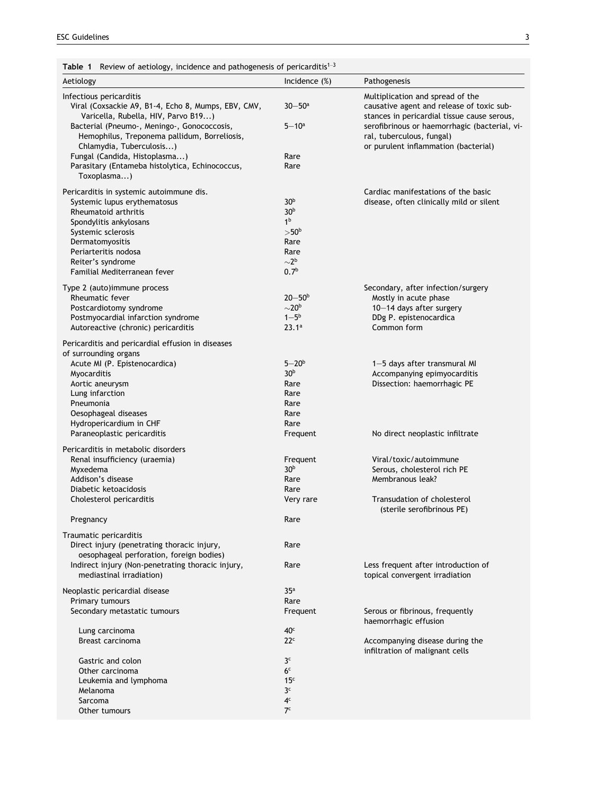Table 1 Review of aetiology, incidence and pathogenesis of pericarditis<sup>1-3</sup>

| Aetiology                                                                                   | Incidence $(\%)$                         | Pathogenesis                                                                             |
|---------------------------------------------------------------------------------------------|------------------------------------------|------------------------------------------------------------------------------------------|
| Infectious pericarditis                                                                     |                                          | Multiplication and spread of the                                                         |
| Viral (Coxsackie A9, B1-4, Echo 8, Mumps, EBV, CMV,<br>Varicella, Rubella, HIV, Parvo B19)  | $30 - 50^{\circ}$                        | causative agent and release of toxic sub-<br>stances in pericardial tissue cause serous, |
| Bacterial (Pneumo-, Meningo-, Gonococcosis,<br>Hemophilus, Treponema pallidum, Borreliosis, | $5 - 10^a$                               | serofibrinous or haemorrhagic (bacterial, vi-<br>ral, tuberculous, fungal)               |
| Chlamydia, Tuberculosis)                                                                    |                                          | or purulent inflammation (bacterial)                                                     |
| Fungal (Candida, Histoplasma)                                                               | Rare                                     |                                                                                          |
| Parasitary (Entameba histolytica, Echinococcus,<br>Toxoplasma)                              | Rare                                     |                                                                                          |
| Pericarditis in systemic autoimmune dis.                                                    |                                          | Cardiac manifestations of the basic                                                      |
| Systemic lupus erythematosus                                                                | 30 <sup>b</sup>                          | disease, often clinically mild or silent                                                 |
| Rheumatoid arthritis                                                                        | 30 <sup>b</sup>                          |                                                                                          |
| Spondylitis ankylosans                                                                      | 1 <sup>b</sup>                           |                                                                                          |
| Systemic sclerosis                                                                          | $>$ 50 $b$                               |                                                                                          |
| Dermatomyositis                                                                             | Rare                                     |                                                                                          |
| Periarteritis nodosa                                                                        | Rare                                     |                                                                                          |
| Reiter's syndrome<br>Familial Mediterranean fever                                           | ${\sim}2^{\text{b}}$<br>0.7 <sup>b</sup> |                                                                                          |
|                                                                                             |                                          |                                                                                          |
| Type 2 (auto)immune process                                                                 |                                          | Secondary, after infection/surgery                                                       |
| Rheumatic fever                                                                             | $20 - 50b$                               | Mostly in acute phase                                                                    |
| Postcardiotomy syndrome                                                                     | $\sim$ 20 <sup>b</sup>                   | 10-14 days after surgery                                                                 |
| Postmyocardial infarction syndrome                                                          | $1 - 5^{b}$                              | DDg P. epistenocardica                                                                   |
| Autoreactive (chronic) pericarditis                                                         | 23.1 <sup>a</sup>                        | Common form                                                                              |
| Pericarditis and pericardial effusion in diseases                                           |                                          |                                                                                          |
| of surrounding organs                                                                       |                                          |                                                                                          |
| Acute MI (P. Epistenocardica)                                                               | $5 - 20b$                                | 1-5 days after transmural MI                                                             |
| Myocarditis                                                                                 | 30 <sup>b</sup>                          | Accompanying epimyocarditis                                                              |
| Aortic aneurysm                                                                             | Rare                                     | Dissection: haemorrhagic PE                                                              |
| Lung infarction                                                                             | Rare                                     |                                                                                          |
| Pneumonia<br>Oesophageal diseases                                                           | Rare<br>Rare                             |                                                                                          |
| Hydropericardium in CHF                                                                     | Rare                                     |                                                                                          |
| Paraneoplastic pericarditis                                                                 | Frequent                                 | No direct neoplastic infiltrate                                                          |
|                                                                                             |                                          |                                                                                          |
| Pericarditis in metabolic disorders                                                         |                                          |                                                                                          |
| Renal insufficiency (uraemia)                                                               | Frequent                                 | Viral/toxic/autoimmune                                                                   |
| Myxedema<br>Addison's disease                                                               | 30 <sup>b</sup>                          | Serous, cholesterol rich PE<br>Membranous leak?                                          |
| Diabetic ketoacidosis                                                                       | Rare<br>Rare                             |                                                                                          |
| Cholesterol pericarditis                                                                    | Very rare                                | Transudation of cholesterol                                                              |
|                                                                                             |                                          | (sterile serofibrinous PE)                                                               |
| Pregnancy                                                                                   | Rare                                     |                                                                                          |
| Traumatic pericarditis                                                                      |                                          |                                                                                          |
| Direct injury (penetrating thoracic injury,                                                 | Rare                                     |                                                                                          |
| oesophageal perforation, foreign bodies)                                                    |                                          |                                                                                          |
| Indirect injury (Non-penetrating thoracic injury,                                           | Rare                                     | Less frequent after introduction of                                                      |
| mediastinal irradiation)                                                                    |                                          | topical convergent irradiation                                                           |
| Neoplastic pericardial disease                                                              | 35 <sup>a</sup>                          |                                                                                          |
| Primary tumours                                                                             | Rare                                     |                                                                                          |
| Secondary metastatic tumours                                                                | Frequent                                 | Serous or fibrinous, frequently<br>haemorrhagic effusion                                 |
| Lung carcinoma                                                                              | 40 <sup>c</sup>                          |                                                                                          |
| Breast carcinoma                                                                            | 22 <sup>c</sup>                          | Accompanying disease during the<br>infiltration of malignant cells                       |
| Gastric and colon                                                                           | 3 <sup>c</sup>                           |                                                                                          |
| Other carcinoma                                                                             | 6 <sup>c</sup>                           |                                                                                          |
| Leukemia and lymphoma                                                                       | 15 <sup>c</sup>                          |                                                                                          |
| Melanoma                                                                                    | 3 <sup>c</sup>                           |                                                                                          |
| Sarcoma                                                                                     | 4 <sup>c</sup>                           |                                                                                          |
| Other tumours                                                                               | 7 <sup>c</sup>                           |                                                                                          |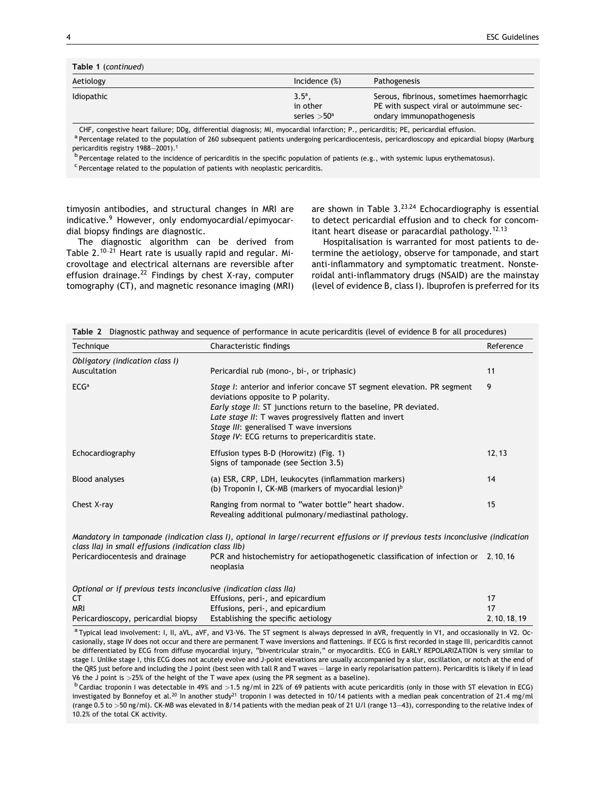| Table 1 (continued) |                                      |                                                                                                                    |
|---------------------|--------------------------------------|--------------------------------------------------------------------------------------------------------------------|
| Aetiology           | Incidence $(\%)$                     | Pathogenesis                                                                                                       |
| <b>Idiopathic</b>   | $3.5^a$<br>in other<br>series $>50a$ | Serous, fibrinous, sometimes haemorrhagic<br>PE with suspect viral or autoimmune sec-<br>ondary immunopathogenesis |
|                     |                                      |                                                                                                                    |

CHF, congestive heart failure; DDg, differential diagnosis; MI, myocardial infarction; P., pericarditis; PE, pericardial effusion. <sup>a</sup> Percentage related to the population of 260 subsequent patients undergoing pericardiocentesis, pericardioscopy and epicardial biopsy (Marburg pericarditis registry 1988–2001).<sup>1</sup>

<sup>b</sup> Percentage related to the incidence of pericarditis in the specific population of patients (e.g., with systemic lupus erythematosus).

<sup>c</sup> Percentage related to the population of patients with neoplastic pericarditis.

timyosin antibodies, and structural changes in MRI are indicative.<sup>9</sup> However, only endomyocardial/epimyocardial biopsy findings are diagnostic.

are shown in Table  $3.^{23,24}$  Echocardiography is essential to detect pericardial effusion and to check for concomitant heart disease or paracardial pathology. $12,13$ 

The diagnostic algorithm can be derived from Table 2.<sup>10–21</sup> Heart rate is usually rapid and regular. Microvoltage and electrical alternans are reversible after effusion drainage.<sup>22</sup> Findings by chest X-ray, computer tomography (CT), and magnetic resonance imaging (MRI)

Hospitalisation is warranted for most patients to determine the aetiology, observe for tamponade, and start anti-inflammatory and symptomatic treatment. Nonsteroidal anti-inflammatory drugs (NSAID) are the mainstay (level of evidence B, class I). Ibuprofen is preferred for its

Table 2 Diagnostic pathway and sequence of performance in acute pericarditis (level of evidence B for all procedures)

| Technique                                                         | Characteristic findings                                                                                                                                                                                                                                                                                                                      | Reference |
|-------------------------------------------------------------------|----------------------------------------------------------------------------------------------------------------------------------------------------------------------------------------------------------------------------------------------------------------------------------------------------------------------------------------------|-----------|
| Obligatory (indication class I)                                   |                                                                                                                                                                                                                                                                                                                                              |           |
| Auscultation                                                      | Pericardial rub (mono-, bi-, or triphasic)                                                                                                                                                                                                                                                                                                   | 11        |
| ECG <sup>a</sup>                                                  | Stage I: anterior and inferior concave ST segment elevation. PR segment<br>deviations opposite to P polarity.<br>Early stage II: ST junctions return to the baseline, PR deviated.<br>Late stage II: T waves progressively flatten and invert<br>Stage III: generalised T wave inversions<br>Stage IV: ECG returns to prepericarditis state. | 9         |
| Echocardiography                                                  | Effusion types B-D (Horowitz) (Fig. 1)<br>Signs of tamponade (see Section 3.5)                                                                                                                                                                                                                                                               | 12, 13    |
| <b>Blood analyses</b>                                             | (a) ESR, CRP, LDH, leukocytes (inflammation markers)<br>(b) Troponin I, CK-MB (markers of myocardial lesion) <sup>b</sup>                                                                                                                                                                                                                    | 14        |
| Chest X-ray                                                       | Ranging from normal to "water bottle" heart shadow.<br>Revealing additional pulmonary/mediastinal pathology.                                                                                                                                                                                                                                 | 15        |
| class IIa) in small effusions (indication class IIb)              | Mandatory in tamponade (indication class I), optional in large/recurrent effusions or if previous tests inconclusive (indication                                                                                                                                                                                                             |           |
| Pericardiocentesis and drainage                                   | PCR and histochemistry for aetiopathogenetic classification of infection or 2, 10, 16<br>neoplasia                                                                                                                                                                                                                                           |           |
| Optional or if previous tests inconclusive (indication class IIa) |                                                                                                                                                                                                                                                                                                                                              |           |
| CТ                                                                | Effusions, peri-, and epicardium                                                                                                                                                                                                                                                                                                             | 17        |
| <b>MRI</b>                                                        | Effusions, peri-, and epicardium                                                                                                                                                                                                                                                                                                             | 17        |

<sup>a</sup> Typical lead involvement: I, II, aVL, aVF, and V3-V6. The ST segment is always depressed in aVR, frequently in V1, and occasionally in V2. Occasionally, stage IV does not occur and there are permanent T wave inversions and flattenings. If ECG is first recorded in stage III, pericarditis cannot be differentiated by ECG from diffuse myocardial injury, "biventricular strain," or myocarditis. ECG in EARLY REPOLARIZATION is very similar to stage I. Unlike stage I, this ECG does not acutely evolve and J-point elevations are usually accompanied by a slur, oscillation, or notch at the end of the QRS just before and including the J point (best seen with tall R and T waves – large in early repolarisation pattern). Pericarditis is likely if in lead

Pericardioscopy, pericardial biopsy Establishing the specific aetiology 2; 10, 18, 19

V6 the J point is >25% of the height of the T wave apex (using the PR segment as a baseline).<br><sup>b</sup> Cardiac troponin I was detectable in 49% and >1.5 ng/ml in 22% of 69 patients with acute pericarditis (only in those with S investigated by Bonnefoy et al.<sup>20</sup> In another study<sup>21</sup> troponin I was detected in 10/14 patients with a median peak concentration of 21.4 mg/ml (range 0.5 to >50 ng/ml). CK-MB was elevated in 8/14 patients with the median peak of 21 U/l (range 13–43), corresponding to the relative index of 10.2% of the total CK activity.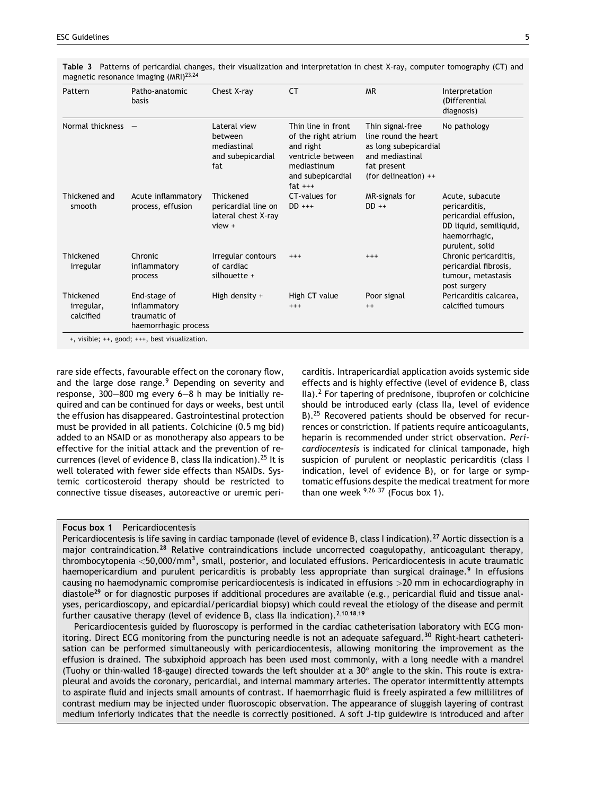| Pattern                              | Patho-anatomic<br>basis                                              | Chest X-ray                                                         | <b>CT</b>                                                                                                                   | <b>MR</b>                                                                                                                     | Interpretation<br>(Differential<br>diagnosis)                                                                           |
|--------------------------------------|----------------------------------------------------------------------|---------------------------------------------------------------------|-----------------------------------------------------------------------------------------------------------------------------|-------------------------------------------------------------------------------------------------------------------------------|-------------------------------------------------------------------------------------------------------------------------|
| Normal thickness                     |                                                                      | Lateral view<br>between<br>mediastinal<br>and subepicardial<br>fat  | Thin line in front<br>of the right atrium<br>and right<br>ventricle between<br>mediastinum<br>and subepicardial<br>fat $++$ | Thin signal-free<br>line round the heart<br>as long subepicardial<br>and mediastinal<br>fat present<br>(for delineation) $++$ | No pathology                                                                                                            |
| Thickened and<br>smooth              | Acute inflammatory<br>process, effusion                              | Thickened<br>pericardial line on<br>lateral chest X-ray<br>$view +$ | CT-values for<br>$DD$ +++                                                                                                   | MR-signals for<br>$DD ++$                                                                                                     | Acute, subacute<br>pericarditis,<br>pericardial effusion,<br>DD liquid, semiliquid,<br>haemorrhagic,<br>purulent, solid |
| <b>Thickened</b><br>irregular        | Chronic<br>inflammatory<br>process                                   | Irregular contours<br>of cardiac<br>silhouette +                    | $^{+ + +}$                                                                                                                  | $^{+++}$                                                                                                                      | Chronic pericarditis,<br>pericardial fibrosis,<br>tumour, metastasis<br>post surgery                                    |
| Thickened<br>irregular,<br>calcified | End-stage of<br>inflammatory<br>traumatic of<br>haemorrhagic process | High density $+$                                                    | High CT value<br>$^{+++}$                                                                                                   | Poor signal<br>$^{++}$                                                                                                        | Pericarditis calcarea,<br>calcified tumours                                                                             |

Table 3 Patterns of pericardial changes, their visualization and interpretation in chest X-ray, computer tomography (CT) and magnetic resonance imaging (MRI)<sup>23,24</sup>

rare side effects, favourable effect on the coronary flow, and the large dose range.<sup>9</sup> Depending on severity and response, 300–800 mg every 6–8 h may be initially required and can be continued for days or weeks, best until the effusion has disappeared. Gastrointestinal protection must be provided in all patients. Colchicine (0.5 mg bid) added to an NSAID or as monotherapy also appears to be effective for the initial attack and the prevention of recurrences (level of evidence B, class IIa indication).<sup>25</sup> It is well tolerated with fewer side effects than NSAIDs. Systemic corticosteroid therapy should be restricted to connective tissue diseases, autoreactive or uremic pericarditis. Intrapericardial application avoids systemic side effects and is highly effective (level of evidence B, class IIa). $<sup>2</sup>$  For tapering of prednisone, ibuprofen or colchicine</sup> should be introduced early (class IIa, level of evidence B).<sup>25</sup> Recovered patients should be observed for recurrences or constriction. If patients require anticoagulants, heparin is recommended under strict observation. Pericardiocentesis is indicated for clinical tamponade, high suspicion of purulent or neoplastic pericarditis (class I indication, level of evidence B), or for large or symptomatic effusions despite the medical treatment for more than one week  $9,26-37$  (Focus box 1).

#### Focus box 1 Pericardiocentesis

Pericardiocentesis is life saving in cardiac tamponade (level of evidence B, class I indication).<sup>27</sup> Aortic dissection is a major contraindication.<sup>28</sup> Relative contraindications include uncorrected coagulopathy, anticoagulant therapy, thrombocytopenia <50,000/mm<sup>3</sup>, small, posterior, and loculated effusions. Pericardiocentesis in acute traumatic haemopericardium and purulent pericarditis is probably less appropriate than surgical drainage.<sup>9</sup> In effusions causing no haemodynamic compromise pericardiocentesis is indicated in effusions >20 mm in echocardiography in diastole<sup>29</sup> or for diagnostic purposes if additional procedures are available (e.g., pericardial fluid and tissue analyses, pericardioscopy, and epicardial/pericardial biopsy) which could reveal the etiology of the disease and permit further causative therapy (level of evidence B, class IIa indication).<sup>2,10,18,19</sup>

Pericardiocentesis guided by fluoroscopy is performed in the cardiac catheterisation laboratory with ECG monitoring. Direct ECG monitoring from the puncturing needle is not an adequate safeguard.<sup>30</sup> Right-heart catheterisation can be performed simultaneously with pericardiocentesis, allowing monitoring the improvement as the effusion is drained. The subxiphoid approach has been used most commonly, with a long needle with a mandrel (Tuohy or thin-walled 18-gauge) directed towards the left shoulder at a  $30^\circ$  angle to the skin. This route is extrapleural and avoids the coronary, pericardial, and internal mammary arteries. The operator intermittently attempts to aspirate fluid and injects small amounts of contrast. If haemorrhagic fluid is freely aspirated a few millilitres of contrast medium may be injected under fluoroscopic observation. The appearance of sluggish layering of contrast medium inferiorly indicates that the needle is correctly positioned. A soft J-tip guidewire is introduced and after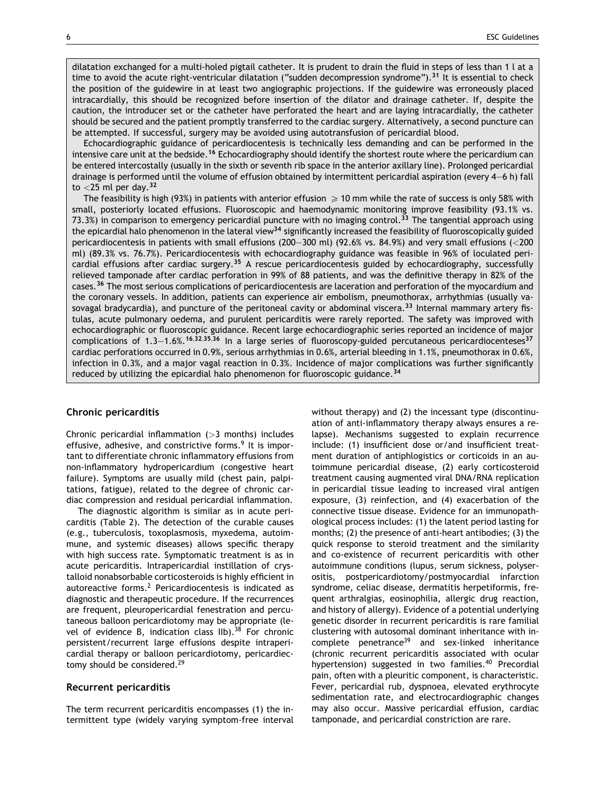dilatation exchanged for a multi-holed pigtail catheter. It is prudent to drain the fluid in steps of less than 1 l at a time to avoid the acute right-ventricular dilatation ("sudden decompression syndrome").<sup>31</sup> It is essential to check the position of the guidewire in at least two angiographic projections. If the guidewire was erroneously placed intracardially, this should be recognized before insertion of the dilator and drainage catheter. If, despite the caution, the introducer set or the catheter have perforated the heart and are laying intracardially, the catheter should be secured and the patient promptly transferred to the cardiac surgery. Alternatively, a second puncture can be attempted. If successful, surgery may be avoided using autotransfusion of pericardial blood.

Echocardiographic guidance of pericardiocentesis is technically less demanding and can be performed in the intensive care unit at the bedside.<sup>16</sup> Echocardiography should identify the shortest route where the pericardium can be entered intercostally (usually in the sixth or seventh rib space in the anterior axillary line). Prolonged pericardial drainage is performed until the volume of effusion obtained by intermittent pericardial aspiration (every 4–6 h) fall to  $<$ 25 ml per day.<sup>32</sup>

The feasibility is high (93%) in patients with anterior effusion  $\geqslant$  10 mm while the rate of success is only 58% with small, posteriorly located effusions. Fluoroscopic and haemodynamic monitoring improve feasibility (93.1% vs. 73.3%) in comparison to emergency pericardial puncture with no imaging control.<sup>33</sup> The tangential approach using the epicardial halo phenomenon in the lateral view<sup>34</sup> significantly increased the feasibility of fluoroscopically guided pericardiocentesis in patients with small effusions (200–300 ml) (92.6% vs. 84.9%) and very small effusions (<200 ml) (89.3% vs. 76.7%). Pericardiocentesis with echocardiography guidance was feasible in 96% of loculated pericardial effusions after cardiac surgery.<sup>35</sup> A rescue pericardiocentesis guided by echocardiography, successfully relieved tamponade after cardiac perforation in 99% of 88 patients, and was the definitive therapy in 82% of the cases.<sup>36</sup> The most serious complications of pericardiocentesis are laceration and perforation of the myocardium and the coronary vessels. In addition, patients can experience air embolism, pneumothorax, arrhythmias (usually vasovagal bradycardia), and puncture of the peritoneal cavity or abdominal viscera.<sup>33</sup> Internal mammary artery fistulas, acute pulmonary oedema, and purulent pericarditis were rarely reported. The safety was improved with echocardiographic or fluoroscopic guidance. Recent large echocardiographic series reported an incidence of major complications of 1.3–1.6%.<sup>16,32,35,36</sup> In a large series of fluoroscopy-guided percutaneous pericardiocenteses<sup>37</sup> cardiac perforations occurred in 0.9%, serious arrhythmias in 0.6%, arterial bleeding in 1.1%, pneumothorax in 0.6%, infection in 0.3%, and a major vagal reaction in 0.3%. Incidence of major complications was further significantly reduced by utilizing the epicardial halo phenomenon for fluoroscopic guidance.<sup>34</sup>

#### Chronic pericarditis

Chronic pericardial inflammation  $(>3$  months) includes effusive, adhesive, and constrictive forms.<sup>9</sup> It is important to differentiate chronic inflammatory effusions from non-inflammatory hydropericardium (congestive heart failure). Symptoms are usually mild (chest pain, palpitations, fatigue), related to the degree of chronic cardiac compression and residual pericardial inflammation.

The diagnostic algorithm is similar as in acute pericarditis (Table 2). The detection of the curable causes (e.g., tuberculosis, toxoplasmosis, myxedema, autoimmune, and systemic diseases) allows specific therapy with high success rate. Symptomatic treatment is as in acute pericarditis. Intrapericardial instillation of crystalloid nonabsorbable corticosteroids is highly efficient in autoreactive forms.<sup>2</sup> Pericardiocentesis is indicated as diagnostic and therapeutic procedure. If the recurrences are frequent, pleuropericardial fenestration and percutaneous balloon pericardiotomy may be appropriate (level of evidence B, indication class  $IIb$ ).<sup>38</sup> For chronic persistent/recurrent large effusions despite intrapericardial therapy or balloon pericardiotomy, pericardiectomy should be considered.<sup>29</sup>

#### Recurrent pericarditis

The term recurrent pericarditis encompasses (1) the intermittent type (widely varying symptom-free interval without therapy) and (2) the incessant type (discontinuation of anti-inflammatory therapy always ensures a relapse). Mechanisms suggested to explain recurrence include: (1) insufficient dose or/and insufficient treatment duration of antiphlogistics or corticoids in an autoimmune pericardial disease, (2) early corticosteroid treatment causing augmented viral DNA/RNA replication in pericardial tissue leading to increased viral antigen exposure, (3) reinfection, and (4) exacerbation of the connective tissue disease. Evidence for an immunopathological process includes: (1) the latent period lasting for months; (2) the presence of anti-heart antibodies; (3) the quick response to steroid treatment and the similarity and co-existence of recurrent pericarditis with other autoimmune conditions (lupus, serum sickness, polyserositis, postpericardiotomy/postmyocardial infarction syndrome, celiac disease, dermatitis herpetiformis, frequent arthralgias, eosinophilia, allergic drug reaction, and history of allergy). Evidence of a potential underlying genetic disorder in recurrent pericarditis is rare familial clustering with autosomal dominant inheritance with incomplete penetrance<sup>39</sup> and sex-linked inheritance (chronic recurrent pericarditis associated with ocular hypertension) suggested in two families.<sup>40</sup> Precordial pain, often with a pleuritic component, is characteristic. Fever, pericardial rub, dyspnoea, elevated erythrocyte sedimentation rate, and electrocardiographic changes may also occur. Massive pericardial effusion, cardiac tamponade, and pericardial constriction are rare.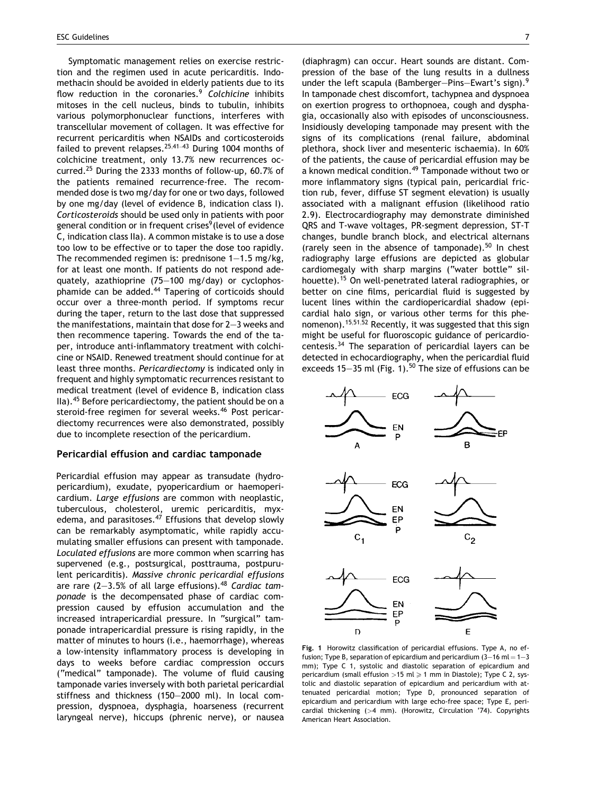Symptomatic management relies on exercise restriction and the regimen used in acute pericarditis. Indomethacin should be avoided in elderly patients due to its flow reduction in the coronaries.<sup>9</sup> Colchicine inhibits mitoses in the cell nucleus, binds to tubulin, inhibits various polymorphonuclear functions, interferes with transcellular movement of collagen. It was effective for recurrent pericarditis when NSAIDs and corticosteroids failed to prevent relapses.<sup>25,41–43</sup> During 1004 months of colchicine treatment, only 13.7% new recurrences occurred.<sup>25</sup> During the 2333 months of follow-up, 60.7% of the patients remained recurrence-free. The recommended dose is two mg/day for one or two days, followed by one mg/day (level of evidence B, indication class I). Corticosteroids should be used only in patients with poor general condition or in frequent crises<sup>9</sup> (level of evidence C, indication class IIa). A common mistake is to use a dose too low to be effective or to taper the dose too rapidly. The recommended regimen is: prednisone  $1-1.5$  mg/kg, for at least one month. If patients do not respond adequately, azathioprine (75–100 mg/day) or cyclophosphamide can be added.44 Tapering of corticoids should occur over a three-month period. If symptoms recur during the taper, return to the last dose that suppressed the manifestations, maintain that dose for 2–3 weeks and then recommence tapering. Towards the end of the taper, introduce anti-inflammatory treatment with colchicine or NSAID. Renewed treatment should continue for at least three months. Pericardiectomy is indicated only in frequent and highly symptomatic recurrences resistant to medical treatment (level of evidence B, indication class IIa). $45$  Before pericardiectomy, the patient should be on a steroid-free regimen for several weeks.<sup>46</sup> Post pericardiectomy recurrences were also demonstrated, possibly due to incomplete resection of the pericardium.

#### Pericardial effusion and cardiac tamponade

Pericardial effusion may appear as transudate (hydropericardium), exudate, pyopericardium or haemopericardium. Large effusions are common with neoplastic, tuberculous, cholesterol, uremic pericarditis, myxedema, and parasitoses. $47$  Effusions that develop slowly can be remarkably asymptomatic, while rapidly accumulating smaller effusions can present with tamponade. Loculated effusions are more common when scarring has supervened (e.g., postsurgical, posttrauma, postpurulent pericarditis). Massive chronic pericardial effusions are rare  $(2-3.5%$  of all large effusions).<sup>48</sup> Cardiac tamponade is the decompensated phase of cardiac compression caused by effusion accumulation and the increased intrapericardial pressure. In "surgical" tamponade intrapericardial pressure is rising rapidly, in the matter of minutes to hours (i.e., haemorrhage), whereas a low-intensity inflammatory process is developing in days to weeks before cardiac compression occurs ("medical" tamponade). The volume of fluid causing tamponade varies inversely with both parietal pericardial stiffness and thickness (150–2000 ml). In local compression, dyspnoea, dysphagia, hoarseness (recurrent laryngeal nerve), hiccups (phrenic nerve), or nausea

(diaphragm) can occur. Heart sounds are distant. Compression of the base of the lung results in a dullness under the left scapula (Bamberger–Pins–Ewart's sign).<sup>9</sup> In tamponade chest discomfort, tachypnea and dyspnoea on exertion progress to orthopnoea, cough and dysphagia, occasionally also with episodes of unconsciousness. Insidiously developing tamponade may present with the signs of its complications (renal failure, abdominal plethora, shock liver and mesenteric ischaemia). In 60% of the patients, the cause of pericardial effusion may be a known medical condition.<sup>49</sup> Tamponade without two or more inflammatory signs (typical pain, pericardial friction rub, fever, diffuse ST segment elevation) is usually associated with a malignant effusion (likelihood ratio 2.9). Electrocardiography may demonstrate diminished QRS and T-wave voltages, PR-segment depression, ST-T changes, bundle branch block, and electrical alternans (rarely seen in the absence of tamponade). $50$  In chest radiography large effusions are depicted as globular cardiomegaly with sharp margins ("water bottle" silhouette).<sup>15</sup> On well-penetrated lateral radiographies, or better on cine films, pericardial fluid is suggested by lucent lines within the cardiopericardial shadow (epicardial halo sign, or various other terms for this phenomenon).<sup>15,51,52</sup> Recently, it was suggested that this sign might be useful for fluoroscopic guidance of pericardiocentesis.<sup>34</sup> The separation of pericardial layers can be detected in echocardiography, when the pericardial fluid exceeds 15–35 ml (Fig. 1).<sup>50</sup> The size of effusions can be



Fig. 1 Horowitz classification of pericardial effusions. Type A, no effusion; Type B, separation of epicardium and pericardium  $(3-16 \text{ ml} = 1-3$ mm); Type C 1, systolic and diastolic separation of epicardium and pericardium (small effusion  $>15$  ml  $\geq 1$  mm in Diastole); Type C 2, systolic and diastolic separation of epicardium and pericardium with attenuated pericardial motion; Type D, pronounced separation of epicardium and pericardium with large echo-free space; Type E, pericardial thickening (>4 mm). (Horowitz, Circulation '74). Copyrights American Heart Association.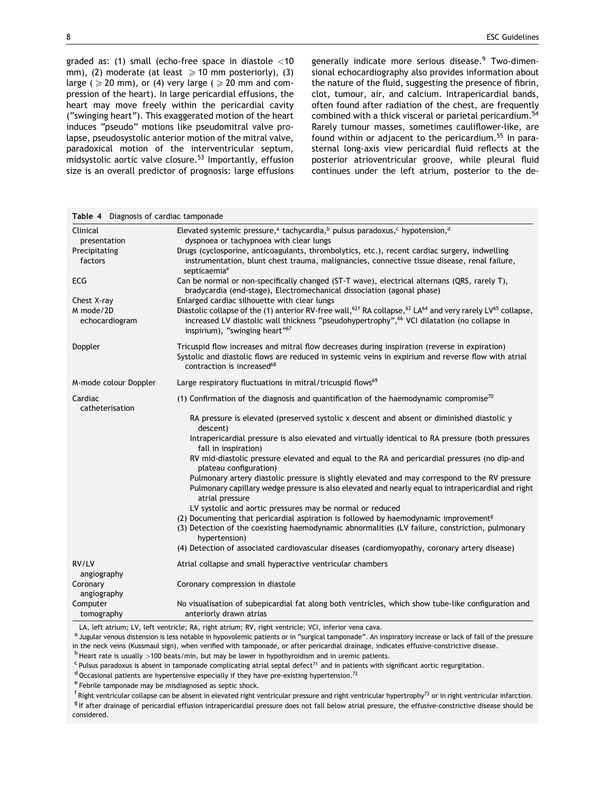graded as: (1) small (echo-free space in diastole  $<$ 10 mm), (2) moderate (at least  $\geq 10$  mm posteriorly), (3) large ( $\geq$  20 mm), or (4) very large ( $\geq$  20 mm and compression of the heart). In large pericardial effusions, the heart may move freely within the pericardial cavity ("swinging heart"). This exaggerated motion of the heart induces "pseudo" motions like pseudomitral valve prolapse, pseudosystolic anterior motion of the mitral valve, paradoxical motion of the interventricular septum, midsystolic aortic valve closure.<sup>53</sup> Importantly, effusion size is an overall predictor of prognosis: large effusions generally indicate more serious disease.<sup>9</sup> Two-dimensional echocardiography also provides information about the nature of the fluid, suggesting the presence of fibrin, clot, tumour, air, and calcium. Intrapericardial bands, often found after radiation of the chest, are frequently combined with a thick visceral or parietal pericardium.<sup>54</sup> Rarely tumour masses, sometimes cauliflower-like, are found within or adjacent to the pericardium.<sup>55</sup> In parasternal long-axis view pericardial fluid reflects at the posterior atrioventricular groove, while pleural fluid continues under the left atrium, posterior to the de-

| <b>Table 4</b> Diagnosis of cardiac tamponade |                                                                                                                                                                                                                                                                                                                                                         |
|-----------------------------------------------|---------------------------------------------------------------------------------------------------------------------------------------------------------------------------------------------------------------------------------------------------------------------------------------------------------------------------------------------------------|
| Clinical<br>presentation                      | Elevated systemic pressure, <sup>a</sup> tachycardia, <sup>b</sup> pulsus paradoxus, <sup>c</sup> hypotension, <sup>d</sup><br>dyspnoea or tachypnoea with clear lungs                                                                                                                                                                                  |
| Precipitating<br>factors                      | Drugs (cyclosporine, anticoagulants, thrombolytics, etc.), recent cardiac surgery, indwelling<br>instrumentation, blunt chest trauma, malignancies, connective tissue disease, renal failure,<br>septicaemia <sup>e</sup>                                                                                                                               |
| <b>ECG</b>                                    | Can be normal or non-specifically changed (ST-T wave), electrical alternans (QRS, rarely T),<br>bradycardia (end-stage), Electromechanical dissociation (agonal phase)                                                                                                                                                                                  |
| Chest X-ray<br>M mode/2D<br>echocardiogram    | Enlarged cardiac silhouette with clear lungs<br>Diastolic collapse of the (1) anterior RV-free wall, <sup>62f</sup> RA collapse, <sup>63</sup> LA <sup>64</sup> and very rarely LV <sup>65</sup> collapse,<br>increased LV diastolic wall thickness "pseudohypertrophy", <sup>66</sup> VCI dilatation (no collapse in<br>inspirium), "swinging heart"67 |
| Doppler                                       | Tricuspid flow increases and mitral flow decreases during inspiration (reverse in expiration)<br>Systolic and diastolic flows are reduced in systemic veins in expirium and reverse flow with atrial<br>contraction is increased <sup>68</sup>                                                                                                          |
| M-mode colour Doppler                         | Large respiratory fluctuations in mitral/tricuspid flows <sup>69</sup>                                                                                                                                                                                                                                                                                  |
| Cardiac<br>catheterisation                    | (1) Confirmation of the diagnosis and quantification of the haemodynamic compromise <sup>70</sup>                                                                                                                                                                                                                                                       |
|                                               | RA pressure is elevated (preserved systolic x descent and absent or diminished diastolic y<br>descent)                                                                                                                                                                                                                                                  |
|                                               | Intrapericardial pressure is also elevated and virtually identical to RA pressure (both pressures<br>fall in inspiration)                                                                                                                                                                                                                               |
|                                               | RV mid-diastolic pressure elevated and equal to the RA and pericardial pressures (no dip-and<br>plateau configuration)                                                                                                                                                                                                                                  |
|                                               | Pulmonary artery diastolic pressure is slightly elevated and may correspond to the RV pressure<br>Pulmonary capillary wedge pressure is also elevated and nearly equal to intrapericardial and right<br>atrial pressure                                                                                                                                 |
|                                               | LV systolic and aortic pressures may be normal or reduced                                                                                                                                                                                                                                                                                               |
|                                               | (2) Documenting that pericardial aspiration is followed by haemodynamic improvement <sup>g</sup><br>(3) Detection of the coexisting haemodynamic abnormalities (LV failure, constriction, pulmonary<br>hypertension)                                                                                                                                    |
|                                               | (4) Detection of associated cardiovascular diseases (cardiomyopathy, coronary artery disease)                                                                                                                                                                                                                                                           |
| RV/LV<br>angiography                          | Atrial collapse and small hyperactive ventricular chambers                                                                                                                                                                                                                                                                                              |
| Coronary<br>angiography                       | Coronary compression in diastole                                                                                                                                                                                                                                                                                                                        |
| Computer<br>tomography                        | No visualisation of subepicardial fat along both ventricles, which show tube-like configuration and<br>anteriorly drawn atrias                                                                                                                                                                                                                          |

LA, left atrium; LV, left ventricle; RA, right atrium; RV, right ventricle; VCI, inferior vena cava.

a Jugular venous distension is less notable in hypovolemic patients or in "surgical tamponade". An inspiratory increase or lack of fall of the pressure in the neck veins (Kussmaul sign), when verified with tamponade, or after pericardial drainage, indicates effusive-constrictive disease.  $^{\text{b}}$  Heart rate is usually >100 beats/min, but may be lower in hypothyroidism and in uremic patients.

 $c$  Pulsus paradoxus is absent in tamponade complicating atrial septal defect<sup>71</sup> and in patients with significant aortic regurgitation.

 $d$  Occasional patients are hypertensive especially if they have pre-existing hypertension.<sup>72</sup>

e Febrile tamponade may be misdiagnosed as septic shock.

<sup>f</sup> Right ventricular collapse can be absent in elevated right ventricular pressure and right ventricular hypertrophy<sup>73</sup> or in right ventricular infarction. <sup>g</sup> If after drainage of pericardial effusion intrapericardial pressure does not fall below atrial pressure, the effusive-constrictive disease should be considered.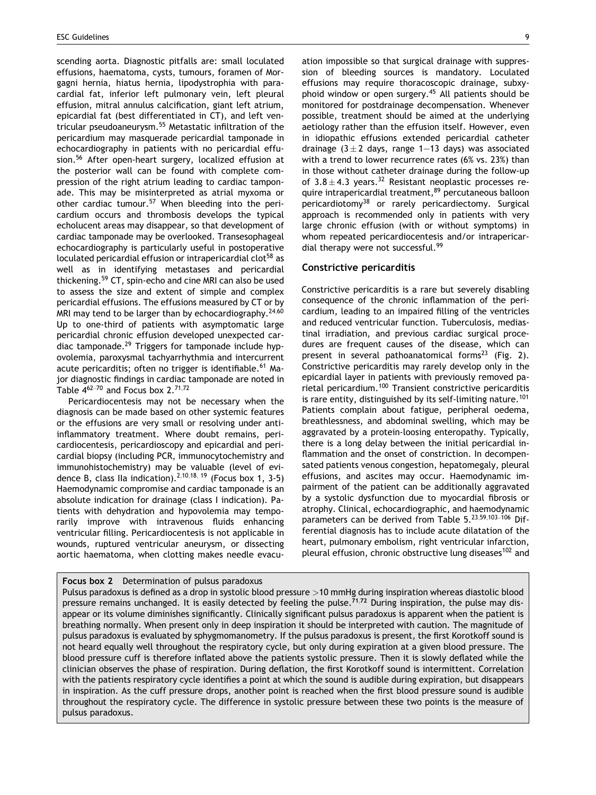scending aorta. Diagnostic pitfalls are: small loculated effusions, haematoma, cysts, tumours, foramen of Morgagni hernia, hiatus hernia, lipodystrophia with paracardial fat, inferior left pulmonary vein, left pleural effusion, mitral annulus calcification, giant left atrium, epicardial fat (best differentiated in CT), and left ventricular pseudoaneurysm.<sup>55</sup> Metastatic infiltration of the pericardium may masquerade pericardial tamponade in echocardiography in patients with no pericardial effusion.<sup>56</sup> After open-heart surgery, localized effusion at the posterior wall can be found with complete compression of the right atrium leading to cardiac tamponade. This may be misinterpreted as atrial myxoma or other cardiac tumour.<sup>57</sup> When bleeding into the pericardium occurs and thrombosis develops the typical echolucent areas may disappear, so that development of cardiac tamponade may be overlooked. Transesophageal echocardiography is particularly useful in postoperative loculated pericardial effusion or intrapericardial clot $58$  as well as in identifying metastases and pericardial thickening.<sup>59</sup> CT, spin-echo and cine MRI can also be used to assess the size and extent of simple and complex pericardial effusions. The effusions measured by CT or by MRI may tend to be larger than by echocardiography. $24,60$ Up to one-third of patients with asymptomatic large pericardial chronic effusion developed unexpected cardiac tamponade.<sup>29</sup> Triggers for tamponade include hypovolemia, paroxysmal tachyarrhythmia and intercurrent acute pericarditis; often no trigger is identifiable.<sup>61</sup> Major diagnostic findings in cardiac tamponade are noted in Table  $4^{62-70}$  and Focus box 2.<sup>71,72</sup>

Pericardiocentesis may not be necessary when the diagnosis can be made based on other systemic features or the effusions are very small or resolving under antiinflammatory treatment. Where doubt remains, pericardiocentesis, pericardioscopy and epicardial and pericardial biopsy (including PCR, immunocytochemistry and immunohistochemistry) may be valuable (level of evidence B, class IIa indication).<sup>2,10,18, 19</sup> (Focus box 1, 3-5) Haemodynamic compromise and cardiac tamponade is an absolute indication for drainage (class I indication). Patients with dehydration and hypovolemia may temporarily improve with intravenous fluids enhancing ventricular filling. Pericardiocentesis is not applicable in wounds, ruptured ventricular aneurysm, or dissecting aortic haematoma, when clotting makes needle evacuation impossible so that surgical drainage with suppression of bleeding sources is mandatory. Loculated effusions may require thoracoscopic drainage, subxyphoid window or open surgery.<sup>45</sup> All patients should be monitored for postdrainage decompensation. Whenever possible, treatment should be aimed at the underlying aetiology rather than the effusion itself. However, even in idiopathic effusions extended pericardial catheter drainage ( $3 \pm 2$  days, range 1–13 days) was associated with a trend to lower recurrence rates (6% vs. 23%) than in those without catheter drainage during the follow-up of  $3.8 \pm 4.3$  years.<sup>32</sup> Resistant neoplastic processes require intrapericardial treatment,<sup>89</sup> percutaneous balloon pericardiotomy<sup>38</sup> or rarely pericardiectomy. Surgical approach is recommended only in patients with very large chronic effusion (with or without symptoms) in whom repeated pericardiocentesis and/or intrapericardial therapy were not successful.<sup>99</sup>

#### Constrictive pericarditis

Constrictive pericarditis is a rare but severely disabling consequence of the chronic inflammation of the pericardium, leading to an impaired filling of the ventricles and reduced ventricular function. Tuberculosis, mediastinal irradiation, and previous cardiac surgical procedures are frequent causes of the disease, which can present in several pathoanatomical forms<sup>23</sup> (Fig. 2). Constrictive pericarditis may rarely develop only in the epicardial layer in patients with previously removed parietal pericardium.<sup>100</sup> Transient constrictive pericarditis is rare entity, distinguished by its self-limiting nature.<sup>101</sup> Patients complain about fatigue, peripheral oedema, breathlessness, and abdominal swelling, which may be aggravated by a protein-loosing enteropathy. Typically, there is a long delay between the initial pericardial inflammation and the onset of constriction. In decompensated patients venous congestion, hepatomegaly, pleural effusions, and ascites may occur. Haemodynamic impairment of the patient can be additionally aggravated by a systolic dysfunction due to myocardial fibrosis or atrophy. Clinical, echocardiographic, and haemodynamic parameters can be derived from Table 5.<sup>23,59,103-106</sup> Differential diagnosis has to include acute dilatation of the heart, pulmonary embolism, right ventricular infarction, pleural effusion, chronic obstructive lung diseases<sup>102</sup> and

Focus box 2 Determination of pulsus paradoxus Pulsus paradoxus is defined as a drop in systolic blood pressure >10 mmHg during inspiration whereas diastolic blood pressure remains unchanged. It is easily detected by feeling the pulse.<sup>71,72</sup> During inspiration, the pulse may disappear or its volume diminishes significantly. Clinically significant pulsus paradoxus is apparent when the patient is breathing normally. When present only in deep inspiration it should be interpreted with caution. The magnitude of pulsus paradoxus is evaluated by sphygmomanometry. If the pulsus paradoxus is present, the first Korotkoff sound is not heard equally well throughout the respiratory cycle, but only during expiration at a given blood pressure. The blood pressure cuff is therefore inflated above the patients systolic pressure. Then it is slowly deflated while the clinician observes the phase of respiration. During deflation, the first Korotkoff sound is intermittent. Correlation with the patients respiratory cycle identifies a point at which the sound is audible during expiration, but disappears in inspiration. As the cuff pressure drops, another point is reached when the first blood pressure sound is audible throughout the respiratory cycle. The difference in systolic pressure between these two points is the measure of pulsus paradoxus.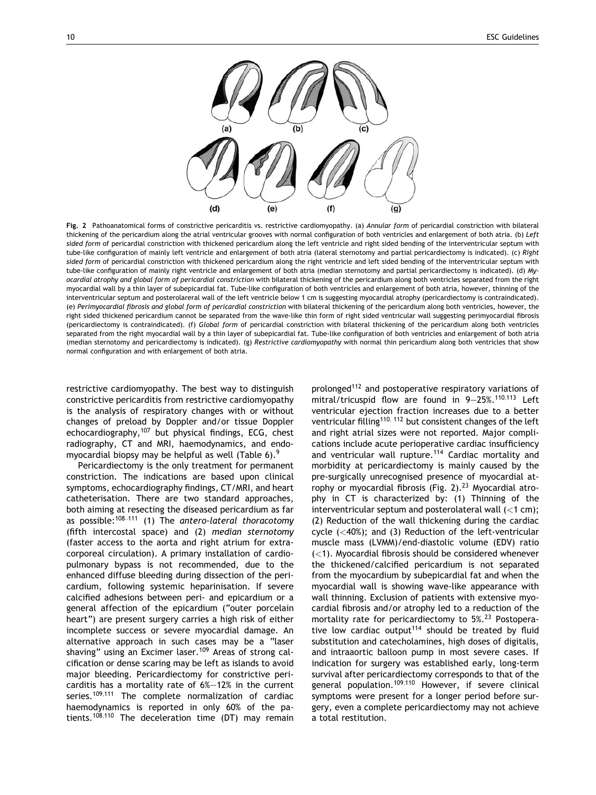

Fig. 2 Pathoanatomical forms of constrictive pericarditis vs. restrictive cardiomyopathy. (a) Annular form of pericardial constriction with bilateral thickening of the pericardium along the atrial ventricular grooves with normal configuration of both ventricles and enlargement of both atria. (b) Left sided form of pericardial constriction with thickened pericardium along the left ventricle and right sided bending of the interventricular septum with tube-like configuration of mainly left ventricle and enlargement of both atria (lateral sternotomy and partial pericardiectomy is indicated). (c) Right sided form of pericardial constriction with thickened pericardium along the right ventricle and left sided bending of the interventricular septum with tube-like configuration of mainly right ventricle and enlargement of both atria (median sternotomy and partial pericardiectomy is indicated). (d) Myocardial atrophy and global form of pericardial constriction with bilateral thickening of the pericardium along both ventricles separated from the right myocardial wall by a thin layer of subepicardial fat. Tube-like configuration of both ventricles and enlargement of both atria, however, thinning of the interventricular septum and posterolareral wall of the left ventricle below 1 cm is suggesting myocardial atrophy (pericardiectomy is contraindicated). (e) Perimyocardial fibrosis and global form of pericardial constriction with bilateral thickening of the pericardium along both ventricles, however, the right sided thickened pericardium cannot be separated from the wave-like thin form of right sided ventricular wall suggesting perimyocardial fibrosis (pericardiectomy is contraindicated). (f) Global form of pericardial constriction with bilateral thickening of the pericardium along both ventricles separated from the right myocardial wall by a thin layer of subepicardial fat. Tube-like configuration of both ventricles and enlargement of both atria (median sternotomy and pericardiectomy is indicated). (g) Restrictive cardiomyopathy with normal thin pericardium along both ventricles that show normal configuration and with enlargement of both atria.

restrictive cardiomyopathy. The best way to distinguish constrictive pericarditis from restrictive cardiomyopathy is the analysis of respiratory changes with or without changes of preload by Doppler and/or tissue Doppler echocardiography,<sup>107</sup> but physical findings, ECG, chest radiography, CT and MRI, haemodynamics, and endomyocardial biopsy may be helpful as well (Table 6).<sup>9</sup>

Pericardiectomy is the only treatment for permanent constriction. The indications are based upon clinical symptoms, echocardiography findings, CT/MRI, and heart catheterisation. There are two standard approaches, both aiming at resecting the diseased pericardium as far as possible: $108-111$  (1) The antero-lateral thoracotomy (fifth intercostal space) and (2) median sternotomy (faster access to the aorta and right atrium for extracorporeal circulation). A primary installation of cardiopulmonary bypass is not recommended, due to the enhanced diffuse bleeding during dissection of the pericardium, following systemic heparinisation. If severe calcified adhesions between peri- and epicardium or a general affection of the epicardium ("outer porcelain heart") are present surgery carries a high risk of either incomplete success or severe myocardial damage. An alternative approach in such cases may be a "laser shaving" using an Excimer laser.<sup>109</sup> Areas of strong calcification or dense scaring may be left as islands to avoid major bleeding. Pericardiectomy for constrictive pericarditis has a mortality rate of 6%–12% in the current series.<sup>109,111</sup> The complete normalization of cardiac haemodynamics is reported in only 60% of the patients.<sup>108,110</sup> The deceleration time (DT) may remain prolonged<sup>112</sup> and postoperative respiratory variations of mitral/tricuspid flow are found in 9-25%.<sup>110,113</sup> Left ventricular ejection fraction increases due to a better ventricular filling<sup>110, 112</sup> but consistent changes of the left and right atrial sizes were not reported. Major complications include acute perioperative cardiac insufficiency and ventricular wall rupture.<sup>114</sup> Cardiac mortality and morbidity at pericardiectomy is mainly caused by the pre-surgically unrecognised presence of myocardial atrophy or myocardial fibrosis (Fig. 2). $^{23}$  Myocardial atrophy in CT is characterized by: (1) Thinning of the interventricular septum and posterolateral wall (<1 cm); (2) Reduction of the wall thickening during the cardiac cycle (<40%); and (3) Reduction of the left-ventricular muscle mass (LVMM)/end-diastolic volume (EDV) ratio  $(<$ 1). Myocardial fibrosis should be considered whenever the thickened/calcified pericardium is not separated from the myocardium by subepicardial fat and when the myocardial wall is showing wave-like appearance with wall thinning. Exclusion of patients with extensive myocardial fibrosis and/or atrophy led to a reduction of the mortality rate for pericardiectomy to 5%.<sup>23</sup> Postoperative low cardiac output<sup>114</sup> should be treated by fluid substitution and catecholamines, high doses of digitalis, and intraaortic balloon pump in most severe cases. If indication for surgery was established early, long-term survival after pericardiectomy corresponds to that of the general population.<sup>109</sup>;<sup>110</sup> However, if severe clinical symptoms were present for a longer period before surgery, even a complete pericardiectomy may not achieve a total restitution.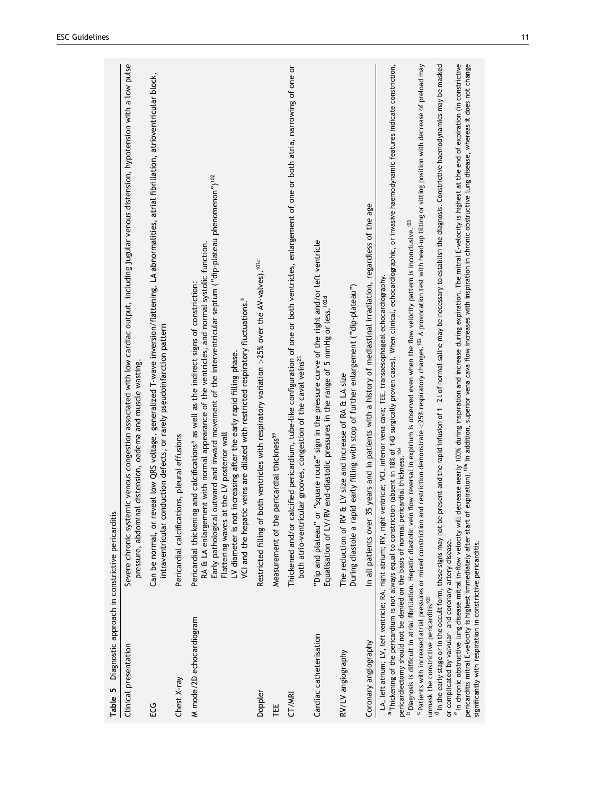| Table 5 Diagnostic approach in constrictive pericarditis                                                                                                                                                                                                           |                                                                                                                                                                                                                                                                                                                                                                                                                                                                                                                                                                                                                                                                                                                                                                                                                                                                                                                                                                                                                                                                                                                                                                                                                                                                                                                                                                                                                                                                                                                                                   |
|--------------------------------------------------------------------------------------------------------------------------------------------------------------------------------------------------------------------------------------------------------------------|---------------------------------------------------------------------------------------------------------------------------------------------------------------------------------------------------------------------------------------------------------------------------------------------------------------------------------------------------------------------------------------------------------------------------------------------------------------------------------------------------------------------------------------------------------------------------------------------------------------------------------------------------------------------------------------------------------------------------------------------------------------------------------------------------------------------------------------------------------------------------------------------------------------------------------------------------------------------------------------------------------------------------------------------------------------------------------------------------------------------------------------------------------------------------------------------------------------------------------------------------------------------------------------------------------------------------------------------------------------------------------------------------------------------------------------------------------------------------------------------------------------------------------------------------|
| Clinical presentation                                                                                                                                                                                                                                              | Severe chronic systemic venous congestion associated with low cardiac output, including jugular venous distension, hypotension with a low pulse<br>distension, oedema and muscle wasting.<br>pressure, abdominal                                                                                                                                                                                                                                                                                                                                                                                                                                                                                                                                                                                                                                                                                                                                                                                                                                                                                                                                                                                                                                                                                                                                                                                                                                                                                                                                  |
| ECG                                                                                                                                                                                                                                                                | Can be normal, or reveal low QRS voltage, generalized T-wave inversion/flattening, LA abnormalities, atrial fibrillation, atrioventricular block,<br>intraventricular conduction defects, or rarely pseudoinfarction pattern                                                                                                                                                                                                                                                                                                                                                                                                                                                                                                                                                                                                                                                                                                                                                                                                                                                                                                                                                                                                                                                                                                                                                                                                                                                                                                                      |
| Chest X-ray                                                                                                                                                                                                                                                        | Pericardial calcifications, pleural effusions                                                                                                                                                                                                                                                                                                                                                                                                                                                                                                                                                                                                                                                                                                                                                                                                                                                                                                                                                                                                                                                                                                                                                                                                                                                                                                                                                                                                                                                                                                     |
| M mode/2D echocardiogram                                                                                                                                                                                                                                           | Early pathological outward and inward movement of the interventricular septum ("dip-plateau phenomenon") <sup>102</sup><br>RA & LA enlargement with normal appearance of the ventricles, and normal systolic function.<br>Pericardial thickening and calcifications <sup>a</sup> as well as the indirect signs of constriction:<br>VCI and the hepatic veins are dilated with restricted respiratory fluctuations. <sup>b</sup><br>LV diameter is not increasing after the early rapid filling phase.<br>the LV posterior wall<br>Flattering waves at                                                                                                                                                                                                                                                                                                                                                                                                                                                                                                                                                                                                                                                                                                                                                                                                                                                                                                                                                                                             |
| Doppler                                                                                                                                                                                                                                                            | Restricted filling of both ventricles with respiratory variation >25% over the AV-valves), 103c                                                                                                                                                                                                                                                                                                                                                                                                                                                                                                                                                                                                                                                                                                                                                                                                                                                                                                                                                                                                                                                                                                                                                                                                                                                                                                                                                                                                                                                   |
| 岜                                                                                                                                                                                                                                                                  | Measurement of the pericardial thickness <sup>59</sup>                                                                                                                                                                                                                                                                                                                                                                                                                                                                                                                                                                                                                                                                                                                                                                                                                                                                                                                                                                                                                                                                                                                                                                                                                                                                                                                                                                                                                                                                                            |
| CT/MRI                                                                                                                                                                                                                                                             | Thickened and/or calcified pericardium, tube-like configuration of one or both ventricles, enlargement of one or both atria, narrowing of one or<br>both atrio-ventricular grooves, congestion of the caval veins <sup>23</sup>                                                                                                                                                                                                                                                                                                                                                                                                                                                                                                                                                                                                                                                                                                                                                                                                                                                                                                                                                                                                                                                                                                                                                                                                                                                                                                                   |
| Cardiac catheterisation                                                                                                                                                                                                                                            | "Dip and plateau" or "square route" sign in the pressure curve of the right and/or left ventricle<br>end-diastolic pressures in the range of 5 mmHg or less. <sup>1024</sup><br>Equalisation of LV/RV                                                                                                                                                                                                                                                                                                                                                                                                                                                                                                                                                                                                                                                                                                                                                                                                                                                                                                                                                                                                                                                                                                                                                                                                                                                                                                                                             |
| RV/LV angiography                                                                                                                                                                                                                                                  | early filling with stop of further enlargement ("dip-plateau")<br>The reduction of RV & LV size and increase of RA & LA size<br>During diastole a rapid                                                                                                                                                                                                                                                                                                                                                                                                                                                                                                                                                                                                                                                                                                                                                                                                                                                                                                                                                                                                                                                                                                                                                                                                                                                                                                                                                                                           |
| Coronary angiography                                                                                                                                                                                                                                               | In all patients over 35 years and in patients with a history of mediastinal irradiation, regardless of the age                                                                                                                                                                                                                                                                                                                                                                                                                                                                                                                                                                                                                                                                                                                                                                                                                                                                                                                                                                                                                                                                                                                                                                                                                                                                                                                                                                                                                                    |
| <sup>c</sup> Patients with increased atrial pressures or mixed constriction and<br>or complicated by valvular- and coronary artery disease.<br>significantly with respiration in constrictive pericarditis.<br>unmask the constrictive pericarditis <sup>105</sup> | $^{\sf d}$ In the early stage or in the occult form, these signs may not be present and the rapid infusion of 1–2 l of normal saline may be necessary to establish the diagnosis. Constrictive haemodynamics may be masked<br><sup>e</sup> In chronic obstructive lung disease mitral in-flow velocity will decrease nearly 100% during inspiration and increase during expiration. The mitral E-velocity is highest at the end of expiration (in constrictive<br>pericarditis mitral E-velocity is highest immediately after start of expiration). <sup>106</sup> In addition, superior vena cava flow increases with inspiration in chronic obstructive lung disease, whereas it does not change<br>restriction demonstrate <25% respiratory changes. <sup>102</sup> A provocation test with head-up tilting or sitting position with decrease of preload may<br><sup>a</sup> Thickening of the pericardium is not always equal to constriction (absent in 18% of 143 surgically proven cases). When clinical, echocardiographic, or invasive haemodynamic features indicate constriction,<br><sup>b</sup> Diagnosis is difficult in atrial fibrillation. Hepatic diastolic vein flow reversal in expirium is observed even when the flow velocity pattern is inconclusive. <sup>103</sup><br>LA, left atrium; LV, left ventricle; RA, right atrium; RV, right ventricle; VCI, inferior vena cava; TEE, transoesophageal echocardiography.<br>pericardiectomy should not be denied on the basis of normal pericardial thickness. <sup>104</sup> |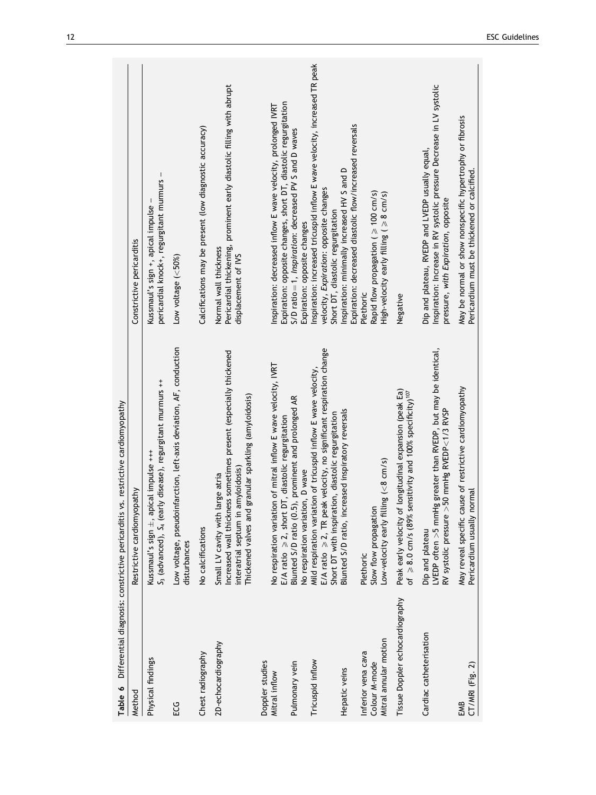| Table 6                                                      | Differential diagnosis: constrictive pericarditis vs. restrictive cardiomyopathy                                                                                                                       |                                                                                                                                                                 |
|--------------------------------------------------------------|--------------------------------------------------------------------------------------------------------------------------------------------------------------------------------------------------------|-----------------------------------------------------------------------------------------------------------------------------------------------------------------|
| Method                                                       | Restrictive cardiomyopathy                                                                                                                                                                             | Constrictive pericarditis                                                                                                                                       |
| Physical findings                                            | S <sub>3</sub> (advanced), S <sub>4</sub> (early disease), regurgitant murmurs ++<br>Kussmaul's sign $\pm$ , apical impulse +++                                                                        | I<br>pericardial knock+, regurgitant murmurs<br>Kussmaul's sign +, apical impulse                                                                               |
| ECG                                                          | Low voltage, pseudoinfarction, left-axis deviation, AF, conduction<br>disturbances                                                                                                                     | Low voltage $(<50\%)$                                                                                                                                           |
| Chest radiography                                            | No calcifications                                                                                                                                                                                      | Calcifications may be present (low diagnostic accuracy)                                                                                                         |
| 2D-echocardiography                                          | Increased wall thickness sometimes present (especially thickened<br>granular sparkling (amyloidosis)<br>interatrial septum in amyloidosis)<br>Small LV cavity with large atria<br>Thickened valves and | Pericardial thickening, prominent early diastolic filling with abrupt<br>Normal wall thickness<br>displacement of IVS                                           |
| Doppler studies<br>Mitral inflow                             | No respiration variation of mitral inflow E wave velocity, IVRT                                                                                                                                        | Inspiration: decreased inflow E wave velocity, prolonged IVRT                                                                                                   |
| Pulmonary vein                                               | Blunted S/D ratio (0.5), prominent and prolonged AR<br>E/A ratio $\geq 2$ , short DT, diastolic regurgitation                                                                                          | Expiration: opposite changes, short DT, diastolic regurgitation<br>S/D ratio = 1, Inspiration: decreased PV S and D waves                                       |
| Tricuspid inflow                                             | E/A ratio $\geq 2$ , TR peak velocity, no significant respiration change<br>Mild respiration variation of tricuspid inflow E wave velocity,<br>No respiration variation, D wave                        | Inspiration: increased tricuspid inflow E wave velocity, increased TR peak<br>velocity, Expiration: opposite changes<br>Expiration: opposite changes            |
| Hepatic veins                                                | Blunted S/D ratio, increased inspiratory reversals<br>Short DT with inspiration, diastolic regurgitation                                                                                               | Expiration: decreased diastolic flow/increased reversals<br>Inspiration: minimally increased HV S and D<br>Short DT, diastolic regurgitation                    |
| Mitral annular motion<br>Inferior vena cava<br>Colour M-mode | Low-velocity early filling (<8 cm/s)<br>Slow flow propagation<br>Plethoric                                                                                                                             | Rapid flow propagation ( ≥ 100 cm/s)<br>High-velocity early filling ( $\geq 8$ cm/s)<br>Plethoric                                                               |
| Tissue Doppler echocardiography                              | Peak early velocity of longitudinal expansion (peak Ea)<br>of $\geq 8.0$ cm/s (89% sensitivity and 100% specificity) <sup>107</sup>                                                                    | Negative                                                                                                                                                        |
| Cardiac catheterisation                                      | LVEDP often >5 mmHg greater than RVEDP, but may be identical,<br>RV systolic pressure >50 mmHg RVEDP<1/3 RVSP<br>Dip and plateau                                                                       | Inspiration: Increase in RV systolic pressure Decrease in LV systolic<br>Dip and plateau, RVEDP and LVEDP usually equal,<br>pressure, with Expiration, opposite |
| CT/MRI (Fig. 2)<br>EMB                                       | May reveal specific cause of restrictive cardiomyopathy<br>Pericardium usually normal                                                                                                                  | May be normal or show nonspecific hypertrophy or fibrosis<br>Pericardium must be thickened or calcified.                                                        |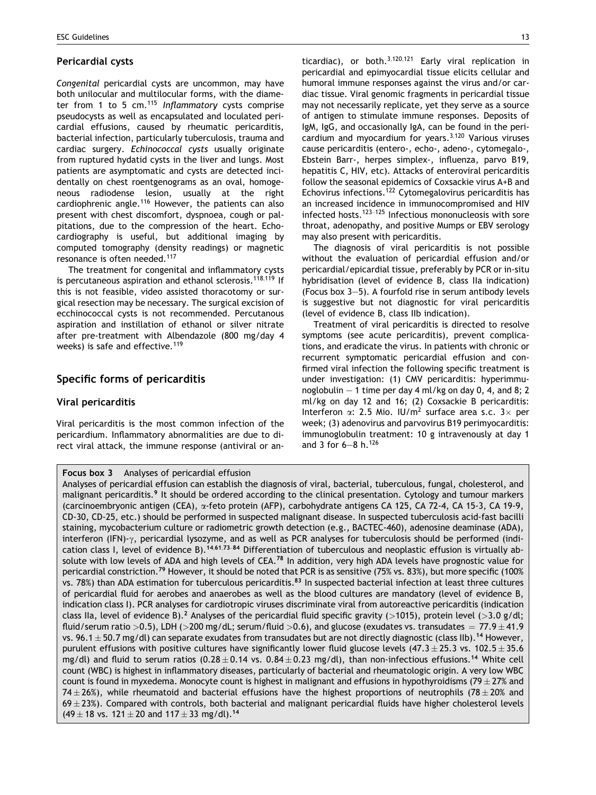#### Pericardial cysts

Congenital pericardial cysts are uncommon, may have both unilocular and multilocular forms, with the diameter from 1 to 5 cm. $115$  Inflammatory cysts comprise pseudocysts as well as encapsulated and loculated pericardial effusions, caused by rheumatic pericarditis, bacterial infection, particularly tuberculosis, trauma and cardiac surgery. Echinococcal cysts usually originate from ruptured hydatid cysts in the liver and lungs. Most patients are asymptomatic and cysts are detected incidentally on chest roentgenograms as an oval, homogeneous radiodense lesion, usually at the right cardiophrenic angle.<sup>116</sup> However, the patients can also present with chest discomfort, dyspnoea, cough or palpitations, due to the compression of the heart. Echocardiography is useful, but additional imaging by computed tomography (density readings) or magnetic resonance is often needed.<sup>117</sup>

The treatment for congenital and inflammatory cysts is percutaneous aspiration and ethanol sclerosis.<sup>118,119</sup> If this is not feasible, video assisted thoracotomy or surgical resection may be necessary. The surgical excision of ecchinococcal cysts is not recommended. Percutanous aspiration and instillation of ethanol or silver nitrate after pre-treatment with Albendazole (800 mg/day 4 weeks) is safe and effective.<sup>119</sup>

## Specific forms of pericarditis

## Viral pericarditis

Viral pericarditis is the most common infection of the pericardium. Inflammatory abnormalities are due to direct viral attack, the immune response (antiviral or an-

Focus box 3 Analyses of pericardial effusion

ticardiac), or both.<sup>3,120,121</sup> Early viral replication in pericardial and epimyocardial tissue elicits cellular and humoral immune responses against the virus and/or cardiac tissue. Viral genomic fragments in pericardial tissue may not necessarily replicate, yet they serve as a source of antigen to stimulate immune responses. Deposits of IgM, IgG, and occasionally IgA, can be found in the pericardium and myocardium for years. $3,120$  Various viruses cause pericarditis (entero-, echo-, adeno-, cytomegalo-, Ebstein Barr-, herpes simplex-, influenza, parvo B19, hepatitis C, HIV, etc). Attacks of enteroviral pericarditis follow the seasonal epidemics of Coxsackie virus A+B and Echovirus infections.<sup>122</sup> Cytomegalovirus pericarditis has an increased incidence in immunocompromised and HIV infected hosts.<sup>123–125</sup> Infectious mononucleosis with sore throat, adenopathy, and positive Mumps or EBV serology may also present with pericarditis.

The diagnosis of viral pericarditis is not possible without the evaluation of pericardial effusion and/or pericardial/epicardial tissue, preferably by PCR or in-situ hybridisation (level of evidence B, class IIa indication) (Focus box 3–5). A fourfold rise in serum antibody levels is suggestive but not diagnostic for viral pericarditis (level of evidence B, class IIb indication).

Treatment of viral pericarditis is directed to resolve symptoms (see acute pericarditis), prevent complications, and eradicate the virus. In patients with chronic or recurrent symptomatic pericardial effusion and confirmed viral infection the following specific treatment is under investigation: (1) CMV pericarditis: hyperimmunoglobulin  $-1$  time per day 4 ml/kg on day 0, 4, and 8; 2 ml/kg on day 12 and 16; (2) Coxsackie B pericarditis: Interferon  $\alpha$ : 2.5 Mio. IU/m<sup>2</sup> surface area s.c. 3 $\times$  per week; (3) adenovirus and parvovirus B19 perimyocarditis: immunoglobulin treatment: 10 g intravenously at day 1 and 3 for 6–8 h.<sup>126</sup>

Analyses of pericardial effusion can establish the diagnosis of viral, bacterial, tuberculous, fungal, cholesterol, and malignant pericarditis.<sup>9</sup> It should be ordered according to the clinical presentation. Cytology and tumour markers (carcinoembryonic antigen (CEA), a-feto protein (AFP), carbohydrate antigens CA 125, CA 72-4, CA 15-3, CA 19-9, CD-30, CD-25, etc.) should be performed in suspected malignant disease. In suspected tuberculosis acid-fast bacilli staining, mycobacterium culture or radiometric growth detection (e.g., BACTEC-460), adenosine deaminase (ADA), interferon (IFN)- $\gamma$ , pericardial lysozyme, and as well as PCR analyses for tuberculosis should be performed (indication class I, level of evidence B).<sup>14,61,73–84</sup> Differentiation of tuberculous and neoplastic effusion is virtually absolute with low levels of ADA and high levels of CEA.<sup>78</sup> In addition, very high ADA levels have prognostic value for pericardial constriction.<sup>79</sup> However, it should be noted that PCR is as sensitive (75% vs. 83%), but more specific (100% vs. 78%) than ADA estimation for tuberculous pericarditis.<sup>83</sup> In suspected bacterial infection at least three cultures of pericardial fluid for aerobes and anaerobes as well as the blood cultures are mandatory (level of evidence B, indication class I). PCR analyses for cardiotropic viruses discriminate viral from autoreactive pericarditis (indication class IIa, level of evidence B).<sup>2</sup> Analyses of the pericardial fluid specific gravity (>1015), protein level (>3.0 g/dl; fluid/serum ratio >0.5), LDH (>200 mg/dL; serum/fluid >0.6), and glucose (exudates vs. transudates =  $77.9 \pm 41.9$ vs. 96.1  $\pm$  50.7 mg/dl) can separate exudates from transudates but are not directly diagnostic (class IIb).<sup>14</sup> However, purulent effusions with positive cultures have significantly lower fluid glucose levels (47.3  $\pm$  25.3 vs. 102.5  $\pm$  35.6 mg/dl) and fluid to serum ratios (0.28  $\pm$  0.14 vs. 0.84  $\pm$  0.23 mg/dl), than non-infectious effusions.<sup>14</sup> White cell count (WBC) is highest in inflammatory diseases, particularly of bacterial and rheumatologic origin. A very low WBC count is found in myxedema. Monocyte count is highest in malignant and effusions in hypothyroidisms (79  $\pm$  27% and 74 $\pm$ 26%), while rheumatoid and bacterial effusions have the highest proportions of neutrophils (78 $\pm$ 20% and  $69 \pm 23$ %). Compared with controls, both bacterial and malignant pericardial fluids have higher cholesterol levels (49  $\pm$  18 vs. 121  $\pm$  20 and 117  $\pm$  33 mg/dl).<sup>14</sup>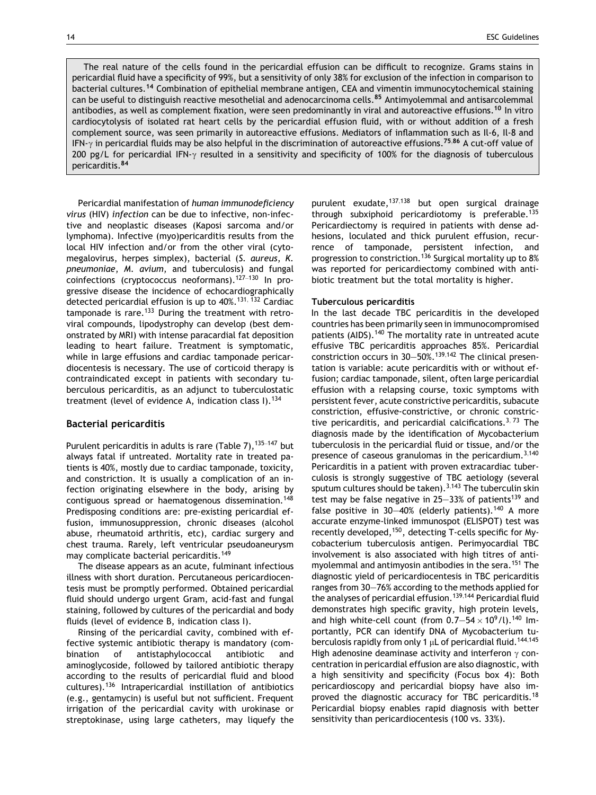The real nature of the cells found in the pericardial effusion can be difficult to recognize. Grams stains in pericardial fluid have a specificity of 99%, but a sensitivity of only 38% for exclusion of the infection in comparison to bacterial cultures.<sup>14</sup> Combination of epithelial membrane antigen, CEA and vimentin immunocytochemical staining can be useful to distinguish reactive mesothelial and adenocarcinoma cells.<sup>85</sup> Antimyolemmal and antisarcolemmal antibodies, as well as complement fixation, were seen predominantly in viral and autoreactive effusions.<sup>10</sup> In vitro cardiocytolysis of isolated rat heart cells by the pericardial effusion fluid, with or without addition of a fresh complement source, was seen primarily in autoreactive effusions. Mediators of inflammation such as Il-6, Il-8 and IFN- $\gamma$  in pericardial fluids may be also helpful in the discrimination of autoreactive effusions.<sup>75,86</sup> A cut-off value of 200 pg/L for pericardial IFN- $\gamma$  resulted in a sensitivity and specificity of 100% for the diagnosis of tuberculous pericarditis.<sup>84</sup>

Pericardial manifestation of human immunodeficiency virus (HIV) infection can be due to infective, non-infective and neoplastic diseases (Kaposi sarcoma and/or lymphoma). Infective (myo)pericarditis results from the local HIV infection and/or from the other viral (cytomegalovirus, herpes simplex), bacterial (S. aureus, K. pneumoniae, M. avium, and tuberculosis) and fungal coinfections (cryptococcus neoformans).<sup>127</sup>–<sup>130</sup> In progressive disease the incidence of echocardiographically detected pericardial effusion is up to 40%.<sup>131</sup>; <sup>132</sup> Cardiac tamponade is rare.<sup>133</sup> During the treatment with retroviral compounds, lipodystrophy can develop (best demonstrated by MRI) with intense paracardial fat deposition leading to heart failure. Treatment is symptomatic, while in large effusions and cardiac tamponade pericardiocentesis is necessary. The use of corticoid therapy is contraindicated except in patients with secondary tuberculous pericarditis, as an adjunct to tuberculostatic treatment (level of evidence A, indication class I).<sup>134</sup>

#### Bacterial pericarditis

Purulent pericarditis in adults is rare (Table 7),  $135-147$  but always fatal if untreated. Mortality rate in treated patients is 40%, mostly due to cardiac tamponade, toxicity, and constriction. It is usually a complication of an infection originating elsewhere in the body, arising by contiguous spread or haematogenous dissemination.<sup>148</sup> Predisposing conditions are: pre-existing pericardial effusion, immunosuppression, chronic diseases (alcohol abuse, rheumatoid arthritis, etc), cardiac surgery and chest trauma. Rarely, left ventricular pseudoaneurysm may complicate bacterial pericarditis.<sup>149</sup>

The disease appears as an acute, fulminant infectious illness with short duration. Percutaneous pericardiocentesis must be promptly performed. Obtained pericardial fluid should undergo urgent Gram, acid-fast and fungal staining, followed by cultures of the pericardial and body fluids (level of evidence B, indication class I).

Rinsing of the pericardial cavity, combined with effective systemic antibiotic therapy is mandatory (combination of antistaphylococcal antibiotic and aminoglycoside, followed by tailored antibiotic therapy according to the results of pericardial fluid and blood cultures).<sup>136</sup> Intrapericardial instillation of antibiotics (e.g., gentamycin) is useful but not sufficient. Frequent irrigation of the pericardial cavity with urokinase or streptokinase, using large catheters, may liquefy the purulent exudate,<sup>137,138</sup> but open surgical drainage through subxiphoid pericardiotomy is preferable.<sup>135</sup> Pericardiectomy is required in patients with dense adhesions, loculated and thick purulent effusion, recurrence of tamponade, persistent infection, and progression to constriction.<sup>136</sup> Surgical mortality up to 8% was reported for pericardiectomy combined with antibiotic treatment but the total mortality is higher.

#### Tuberculous pericarditis

In the last decade TBC pericarditis in the developed countries has been primarily seen in immunocompromised patients (AIDS).<sup>140</sup> The mortality rate in untreated acute effusive TBC pericarditis approaches 85%. Pericardial constriction occurs in 30–50%.<sup>139</sup>;<sup>142</sup> The clinical presentation is variable: acute pericarditis with or without effusion; cardiac tamponade, silent, often large pericardial effusion with a relapsing course, toxic symptoms with persistent fever, acute constrictive pericarditis, subacute constriction, effusive-constrictive, or chronic constrictive pericarditis, and pericardial calcifications.<sup>3, 73</sup> The diagnosis made by the identification of Mycobacterium tuberculosis in the pericardial fluid or tissue, and/or the presence of caseous granulomas in the pericardium.<sup>3,140</sup> Pericarditis in a patient with proven extracardiac tuberculosis is strongly suggestive of TBC aetiology (several sputum cultures should be taken).<sup>3,143</sup> The tuberculin skin test may be false negative in  $25-33%$  of patients<sup>139</sup> and false positive in 30-40% (elderly patients).<sup>140</sup> A more accurate enzyme-linked immunospot (ELISPOT) test was recently developed,<sup>150</sup>, detecting T-cells specific for Mycobacterium tuberculosis antigen. Perimyocardial TBC involvement is also associated with high titres of antimyolemmal and antimyosin antibodies in the sera.<sup>151</sup> The diagnostic yield of pericardiocentesis in TBC pericarditis ranges from 30–76% according to the methods applied for the analyses of pericardial effusion.139;<sup>144</sup> Pericardial fluid demonstrates high specific gravity, high protein levels, and high white-cell count (from  $0.7-54 \times 10^9$ /l).<sup>140</sup> Importantly, PCR can identify DNA of Mycobacterium tuberculosis rapidly from only 1  $\mu$ L of pericardial fluid.<sup>144,145</sup> High adenosine deaminase activity and interferon  $\gamma$  concentration in pericardial effusion are also diagnostic, with a high sensitivity and specificity (Focus box 4): Both pericardioscopy and pericardial biopsy have also improved the diagnostic accuracy for TBC pericarditis.<sup>18</sup> Pericardial biopsy enables rapid diagnosis with better sensitivity than pericardiocentesis (100 vs. 33%).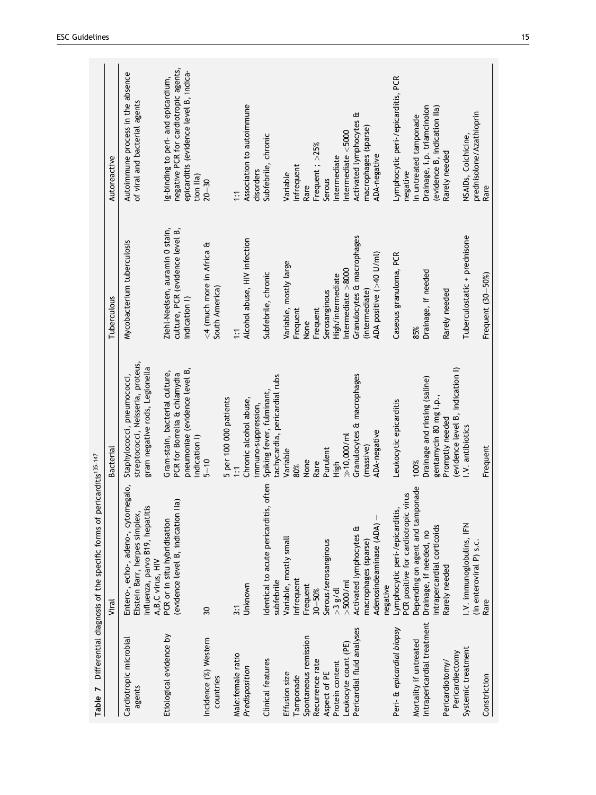| Table 7                            | Differential diagnosis of the specific forms of pericarditis <sup>135-147</sup>                                               |                                                                                                                  |                                                                                     |                                                                                                                                    |
|------------------------------------|-------------------------------------------------------------------------------------------------------------------------------|------------------------------------------------------------------------------------------------------------------|-------------------------------------------------------------------------------------|------------------------------------------------------------------------------------------------------------------------------------|
|                                    | Viral                                                                                                                         | Bacterial                                                                                                        | Tuberculous                                                                         | Autoreactive                                                                                                                       |
| Cardiotropic microbial<br>agents   | Entero-, echo-, adeno-, cytomegalo,<br>influenza, parvo B19, hepatitis<br>Ebstein Barr, herpes simplex,<br>A, B, C virus, HIV | streptococci, Neisseria, proteus,<br>gram negative rods, Legionella<br>Staphylococci, pneumococci,               | Mycobacterium tuberculosis                                                          | Autoimmune process in the absence<br>of viral and bacterial agents                                                                 |
| Etiological evidence by            | $\overline{\mathsf{m}}$<br>(evidence level B, indication<br>PCR or in situ hybridisation                                      | pneumoniae (evidence level B,<br>Gram-stain, bacterial culture,<br>PCR for Borrelia & chlamydia<br>indication I) | Ziehl-Neelsen, auramin 0 stain,<br>culture, PCR (evidence level B,<br>indication I) | negative PCR for cardiotropic agents,<br>epicarditis (evidence level B, indica-<br>g-binding to peri- and epicardium,<br>tion Ila) |
| Incidence (%) Western<br>countries | 50                                                                                                                            | 5 per 100 000 patients<br>$5 - 10$                                                                               | <4 (much more in Africa &<br>South America)                                         | $20 - 30$                                                                                                                          |
| Male:female ratio                  | $\ddot{3}$ :                                                                                                                  |                                                                                                                  | $\Xi$                                                                               | Ξ                                                                                                                                  |
| Predisposition                     | Unknown                                                                                                                       | Chronic alcohol abuse,<br>immuno-suppression,                                                                    | Alcohol abuse, HIV infection                                                        | Association to autoimmune<br>disorders                                                                                             |
| Clinical features                  | dentical to acute pericarditis, often<br>subfebrile                                                                           | tachycardia, pericardial rubs<br>Spiking fever, fulminant,                                                       | Subfebrile, chronic                                                                 | Subfebrile, chronic                                                                                                                |
| Effusion size                      | Variable, mostly small                                                                                                        | Variable                                                                                                         | Variable, mostly large                                                              | Variable                                                                                                                           |
| Tamponade                          | Infrequent                                                                                                                    | 80%                                                                                                              | Frequent                                                                            | Infrequent                                                                                                                         |
| Spontaneous remission              | Frequent                                                                                                                      | None                                                                                                             | None                                                                                | Rare                                                                                                                               |
| Recurrence rate                    | $30 - 50%$                                                                                                                    | Rare                                                                                                             | Frequent                                                                            | Frequent; >25%                                                                                                                     |
| Aspect of PE                       | Serous/serosanginous                                                                                                          | Purulent                                                                                                         | Serosanginous                                                                       | Serous                                                                                                                             |
| Protein content                    | $>3$ g/dl                                                                                                                     | High                                                                                                             | High/intermediate                                                                   | Intermediate                                                                                                                       |
| Leukocyte count (PE)               | > 5000/ml                                                                                                                     | $\gg$ 10,000/ml                                                                                                  | Intermediate > 8000                                                                 | Intermediate $<$ 5000                                                                                                              |
| Pericardial fluid analyses         | Activated lymphocytes &                                                                                                       | Granulocytes & macrophages                                                                                       | Granulocytes & macrophages                                                          | Activated lymphocytes &                                                                                                            |
|                                    | macrophages (sparse)                                                                                                          | (massive)                                                                                                        | (intermediate)                                                                      | macrophages (sparse)                                                                                                               |
|                                    | Adenosindeaminase (ADA) -<br>negative                                                                                         | ADA-negative                                                                                                     | ADA positive (>40 U/ml)                                                             | <b>ADA-negative</b>                                                                                                                |
| Peri- & epicardial biopsy          | PCR positive for cardiotropic virus<br>Lymphocytic peri-/epicarditis,                                                         | Leukocytic epicarditis                                                                                           | Caseous granuloma, PCR                                                              | Lymphocytic peri-/epicarditis, PCR<br>negative                                                                                     |
| Mortality if untreated             | Depending on agent and tamponade                                                                                              | 100%                                                                                                             | 85%                                                                                 | In untreated tamponade                                                                                                             |
| Intrapericardial treatment         | Drainage, if needed, no                                                                                                       | Drainage and rinsing (saline)                                                                                    | Drainage, if needed                                                                 | Drainage, i.p. triamcinolon                                                                                                        |
|                                    | intrapercardial corticoids                                                                                                    | gentamycin 80 mg i.p.,                                                                                           |                                                                                     | (evidence B, indication Ila)                                                                                                       |
| Pericardiectomy<br>Pericardiotomy/ | Rarely needed                                                                                                                 | (evidence level B, indication I)<br>Promptly needed                                                              | Rarely needed                                                                       | Rarely needed                                                                                                                      |
| Systemic treatment                 | I.V. immunoglobulins, IFN                                                                                                     | I.V. antibiotics                                                                                                 | Tuberculostatic + prednisone                                                        | NSAIDs, Colchicine,                                                                                                                |
|                                    | (in enteroviral P) s.c.                                                                                                       |                                                                                                                  |                                                                                     | prednisolone/Azathioprin                                                                                                           |
| Constriction                       | Rare                                                                                                                          | Frequent                                                                                                         | Frequent (30-50%)                                                                   | Rare                                                                                                                               |
|                                    |                                                                                                                               |                                                                                                                  |                                                                                     |                                                                                                                                    |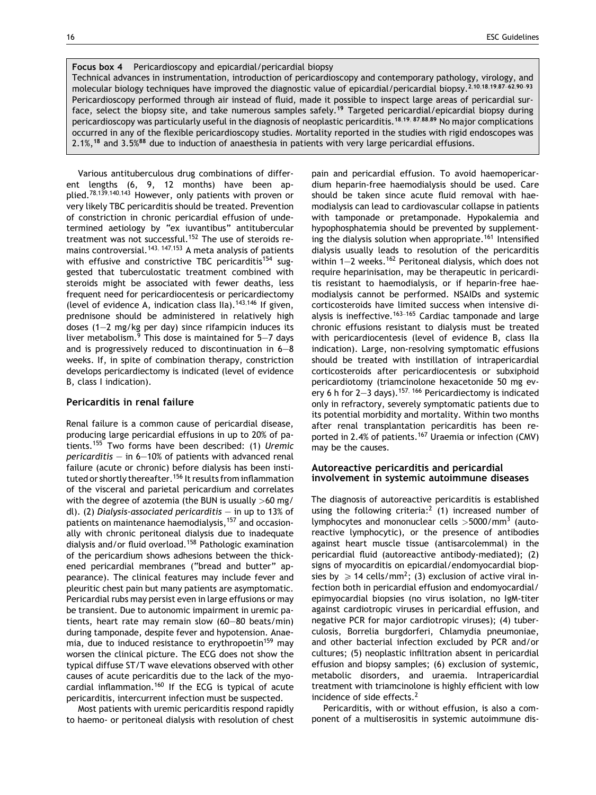Focus box 4 Pericardioscopy and epicardial/pericardial biopsy Technical advances in instrumentation, introduction of pericardioscopy and contemporary pathology, virology, and molecular biology techniques have improved the diagnostic value of epicardial/pericardial biopsy.<sup>2,10,18,19,87–62,90</sup>–93 Pericardioscopy performed through air instead of fluid, made it possible to inspect large areas of pericardial surface, select the biopsy site, and take numerous samples safely.<sup>19</sup> Targeted pericardial/epicardial biopsy during pericardioscopy was particularly useful in the diagnosis of neoplastic pericarditis.<sup>18</sup>;19; <sup>87</sup>;88;<sup>89</sup> No major complications occurred in any of the flexible pericardioscopy studies. Mortality reported in the studies with rigid endoscopes was 2.1%,<sup>18</sup> and 3.5%<sup>88</sup> due to induction of anaesthesia in patients with very large pericardial effusions.

Various antituberculous drug combinations of different lengths (6, 9, 12 months) have been applied.<sup>78</sup>;139;140;<sup>143</sup> However, only patients with proven or very likely TBC pericarditis should be treated. Prevention of constriction in chronic pericardial effusion of undetermined aetiology by "ex iuvantibus" antitubercular treatment was not successful.<sup>152</sup> The use of steroids remains controversial.<sup>143, 147, 153</sup> A meta analysis of patients with effusive and constrictive TBC pericarditis<sup>154</sup> suggested that tuberculostatic treatment combined with steroids might be associated with fewer deaths, less frequent need for pericardiocentesis or pericardiectomy (level of evidence A, indication class IIa).<sup>143,146</sup> If given, prednisone should be administered in relatively high doses (1–2 mg/kg per day) since rifampicin induces its liver metabolism. $9$  This dose is maintained for 5-7 days and is progressively reduced to discontinuation in 6–8 weeks. If, in spite of combination therapy, constriction develops pericardiectomy is indicated (level of evidence B, class I indication).

#### Pericarditis in renal failure

Renal failure is a common cause of pericardial disease, producing large pericardial effusions in up to 20% of patients.<sup>155</sup> Two forms have been described: (1) Uremic pericarditis  $-$  in 6-10% of patients with advanced renal failure (acute or chronic) before dialysis has been instituted or shortly thereafter.<sup>156</sup> It results from inflammation of the visceral and parietal pericardium and correlates with the degree of azotemia (the BUN is usually >60 mg/ dl). (2) Dialysis-associated pericarditis  $-$  in up to 13% of patients on maintenance haemodialysis,<sup>157</sup> and occasionally with chronic peritoneal dialysis due to inadequate dialysis and/or fluid overload.158 Pathologic examination of the pericardium shows adhesions between the thickened pericardial membranes ("bread and butter" appearance). The clinical features may include fever and pleuritic chest pain but many patients are asymptomatic. Pericardial rubs may persist even in large effusions or may be transient. Due to autonomic impairment in uremic patients, heart rate may remain slow (60–80 beats/min) during tamponade, despite fever and hypotension. Anaemia, due to induced resistance to erythropoetin<sup>159</sup> may worsen the clinical picture. The ECG does not show the typical diffuse ST/T wave elevations observed with other causes of acute pericarditis due to the lack of the myocardial inflammation.<sup>160</sup> If the ECG is typical of acute pericarditis, intercurrent infection must be suspected.

Most patients with uremic pericarditis respond rapidly to haemo- or peritoneal dialysis with resolution of chest pain and pericardial effusion. To avoid haemopericardium heparin-free haemodialysis should be used. Care should be taken since acute fluid removal with haemodialysis can lead to cardiovascular collapse in patients with tamponade or pretamponade. Hypokalemia and hypophosphatemia should be prevented by supplementing the dialysis solution when appropriate.<sup>161</sup> Intensified dialysis usually leads to resolution of the pericarditis within  $1-2$  weeks.<sup>162</sup> Peritoneal dialysis, which does not require heparinisation, may be therapeutic in pericarditis resistant to haemodialysis, or if heparin-free haemodialysis cannot be performed. NSAIDs and systemic corticosteroids have limited success when intensive dialysis is ineffective.<sup>163–165</sup> Cardiac tamponade and large chronic effusions resistant to dialysis must be treated with pericardiocentesis (level of evidence B, class IIa indication). Large, non-resolving symptomatic effusions should be treated with instillation of intrapericardial corticosteroids after pericardiocentesis or subxiphoid pericardiotomy (triamcinolone hexacetonide 50 mg every 6 h for  $2-3$  days).<sup>157, 166</sup> Pericardiectomy is indicated only in refractory, severely symptomatic patients due to its potential morbidity and mortality. Within two months after renal transplantation pericarditis has been reported in 2.4% of patients.<sup>167</sup> Uraemia or infection (CMV) may be the causes.

#### Autoreactive pericarditis and pericardial involvement in systemic autoimmune diseases

The diagnosis of autoreactive pericarditis is established using the following criteria:<sup>2</sup> (1) increased number of lymphocytes and mononuclear cells  $>5000/mm^3$  (autoreactive lymphocytic), or the presence of antibodies against heart muscle tissue (antisarcolemmal) in the pericardial fluid (autoreactive antibody-mediated); (2) signs of myocarditis on epicardial/endomyocardial biopsies by  $\geq 14$  cells/mm<sup>2</sup>; (3) exclusion of active viral infection both in pericardial effusion and endomyocardial/ epimyocardial biopsies (no virus isolation, no IgM-titer against cardiotropic viruses in pericardial effusion, and negative PCR for major cardiotropic viruses); (4) tuberculosis, Borrelia burgdorferi, Chlamydia pneumoniae, and other bacterial infection excluded by PCR and/or cultures; (5) neoplastic infiltration absent in pericardial effusion and biopsy samples; (6) exclusion of systemic, metabolic disorders, and uraemia. Intrapericardial treatment with triamcinolone is highly efficient with low incidence of side effects.<sup>2</sup>

Pericarditis, with or without effusion, is also a component of a multiserositis in systemic autoimmune dis-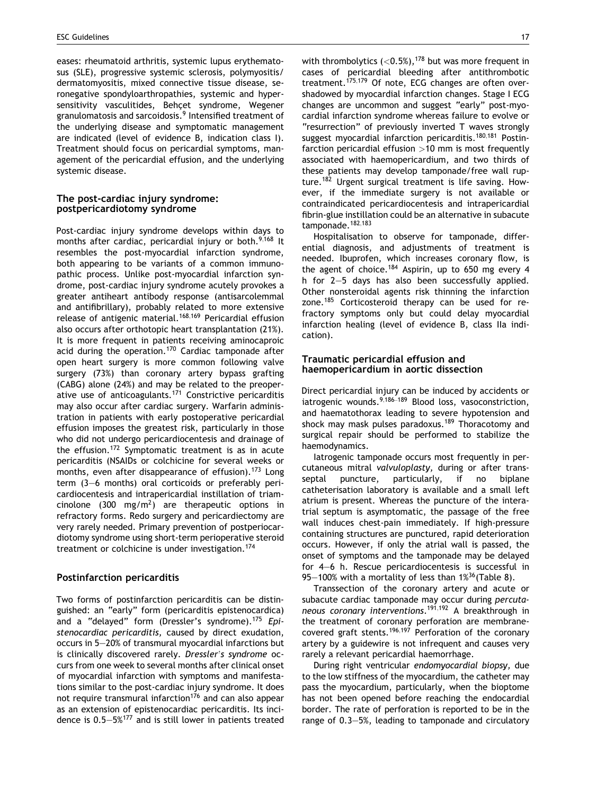eases: rheumatoid arthritis, systemic lupus erythematosus (SLE), progressive systemic sclerosis, polymyositis/ dermatomyositis, mixed connective tissue disease, seronegative spondyloarthropathies, systemic and hypersensitivity vasculitides, Behcet syndrome, Wegener granulomatosis and sarcoidosis.<sup>9</sup> Intensified treatment of the underlying disease and symptomatic management are indicated (level of evidence B, indication class I). Treatment should focus on pericardial symptoms, management of the pericardial effusion, and the underlying systemic disease.

#### The post-cardiac injury syndrome: postpericardiotomy syndrome

Post-cardiac injury syndrome develops within days to months after cardiac, pericardial injury or both.<sup>9,168</sup> It resembles the post-myocardial infarction syndrome, both appearing to be variants of a common immunopathic process. Unlike post-myocardial infarction syndrome, post-cardiac injury syndrome acutely provokes a greater antiheart antibody response (antisarcolemmal and antifibrillary), probably related to more extensive release of antigenic material.<sup>168,169</sup> Pericardial effusion also occurs after orthotopic heart transplantation (21%). It is more frequent in patients receiving aminocaproic acid during the operation.<sup>170</sup> Cardiac tamponade after open heart surgery is more common following valve surgery (73%) than coronary artery bypass grafting (CABG) alone (24%) and may be related to the preoperative use of anticoagulants.<sup>171</sup> Constrictive pericarditis may also occur after cardiac surgery. Warfarin administration in patients with early postoperative pericardial effusion imposes the greatest risk, particularly in those who did not undergo pericardiocentesis and drainage of the effusion.<sup>172</sup> Symptomatic treatment is as in acute pericarditis (NSAIDs or colchicine for several weeks or months, even after disappearance of effusion).<sup>173</sup> Long term (3–6 months) oral corticoids or preferably pericardiocentesis and intrapericardial instillation of triamcinolone (300 mg/m<sup>2</sup>) are therapeutic options in refractory forms. Redo surgery and pericardiectomy are very rarely needed. Primary prevention of postperiocardiotomy syndrome using short-term perioperative steroid treatment or colchicine is under investigation.<sup>174</sup>

#### Postinfarction pericarditis

Two forms of postinfarction pericarditis can be distinguished: an "early" form (pericarditis epistenocardica) and a "delayed" form (Dressler's syndrome).<sup>175</sup> Epistenocardiac pericarditis, caused by direct exudation, occurs in 5–20% of transmural myocardial infarctions but is clinically discovered rarely. Dressler's syndrome occurs from one week to several months after clinical onset of myocardial infarction with symptoms and manifestations similar to the post-cardiac injury syndrome. It does not require transmural infarction<sup>176</sup> and can also appear as an extension of epistenocardiac pericarditis. Its incidence is  $0.5-5\%^{177}$  and is still lower in patients treated with thrombolytics  $(<0.5\%)$ ,<sup>178</sup> but was more frequent in cases of pericardial bleeding after antithrombotic treatment.<sup>175,179</sup> Of note, ECG changes are often overshadowed by myocardial infarction changes. Stage I ECG changes are uncommon and suggest "early" post-myocardial infarction syndrome whereas failure to evolve or "resurrection" of previously inverted T waves strongly suggest myocardial infarction pericarditis.<sup>180,181</sup> Postinfarction pericardial effusion  $>10$  mm is most frequently associated with haemopericardium, and two thirds of these patients may develop tamponade/free wall rupture.182 Urgent surgical treatment is life saving. However, if the immediate surgery is not available or contraindicated pericardiocentesis and intrapericardial fibrin-glue instillation could be an alternative in subacute tamponade.<sup>182</sup>;<sup>183</sup>

Hospitalisation to observe for tamponade, differential diagnosis, and adjustments of treatment is needed. Ibuprofen, which increases coronary flow, is the agent of choice.<sup>184</sup> Aspirin, up to 650 mg every 4 h for 2–5 days has also been successfully applied. Other nonsteroidal agents risk thinning the infarction zone.<sup>185</sup> Corticosteroid therapy can be used for refractory symptoms only but could delay myocardial infarction healing (level of evidence B, class IIa indication).

#### Traumatic pericardial effusion and haemopericardium in aortic dissection

Direct pericardial injury can be induced by accidents or iatrogenic wounds. $9,186-189$  Blood loss, vasoconstriction, and haematothorax leading to severe hypotension and shock may mask pulses paradoxus.<sup>189</sup> Thoracotomy and surgical repair should be performed to stabilize the haemodynamics.

Iatrogenic tamponade occurs most frequently in percutaneous mitral valvuloplasty, during or after transseptal puncture, particularly, if no biplane catheterisation laboratory is available and a small left atrium is present. Whereas the puncture of the interatrial septum is asymptomatic, the passage of the free wall induces chest-pain immediately. If high-pressure containing structures are punctured, rapid deterioration occurs. However, if only the atrial wall is passed, the onset of symptoms and the tamponade may be delayed for 4–6 h. Rescue pericardiocentesis is successful in 95–100% with a mortality of less than  $1\frac{236}{100}$  (Table 8).

Transsection of the coronary artery and acute or subacute cardiac tamponade may occur during percutaneous coronary interventions.<sup>191,192</sup> A breakthrough in the treatment of coronary perforation are membranecovered graft stents.<sup>196,197</sup> Perforation of the coronary artery by a guidewire is not infrequent and causes very rarely a relevant pericardial haemorrhage.

During right ventricular endomyocardial biopsy, due to the low stiffness of the myocardium, the catheter may pass the myocardium, particularly, when the bioptome has not been opened before reaching the endocardial border. The rate of perforation is reported to be in the range of 0.3–5%, leading to tamponade and circulatory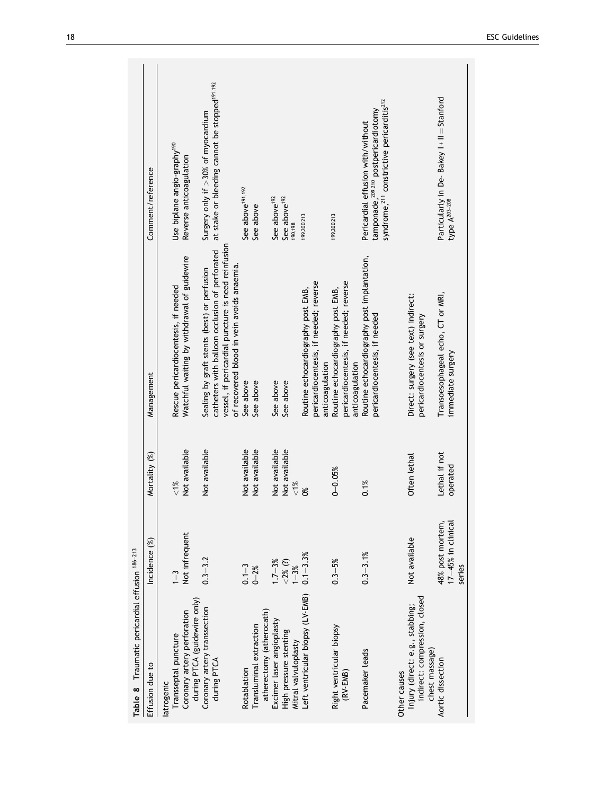| Table 8 Traumatic pericardial effusion 186-213                                                  |                                                      |                                |                                                                                                                                                                                                   |                                                                                                                                                 |
|-------------------------------------------------------------------------------------------------|------------------------------------------------------|--------------------------------|---------------------------------------------------------------------------------------------------------------------------------------------------------------------------------------------------|-------------------------------------------------------------------------------------------------------------------------------------------------|
| Effusion due to                                                                                 | Incidence (%)                                        | Mortality (%)                  | Management                                                                                                                                                                                        | Comment/reference                                                                                                                               |
| during PTCA (guidewire only)<br>Coronary artery perforation<br>ransseptal puncture<br>atrogenic | Not infrequent<br>$\frac{1}{2}$                      | Not available<br>$\frac{8}{5}$ | Watchful waiting by withdrawal of guidewire<br>Rescue pericardiocentesis, if needed                                                                                                               | Use biplane angio-graphy <sup>190</sup><br>Reverse anticoagulation                                                                              |
| Coronary artery transsection<br>during PTCA                                                     | $0.3 - 3.2$                                          | Not available                  | vessel, if pericardial puncture is need reinfusion<br>catheters with balloon occlusion of perforated<br>of recovered blood in vein avoids anaemia.<br>Sealing by graft stents (best) or perfusion | at stake or bleeding cannot be stopped <sup>191,192</sup><br>Surgery only if >30% of myocardium                                                 |
| Rotablation                                                                                     | $0.1 - 3$                                            | Not available                  | See above                                                                                                                                                                                         | See above <sup>191,192</sup>                                                                                                                    |
| atherectomy (atherocath)<br>Transluminal extraction                                             | $0-2\%$                                              | Not available                  | See above                                                                                                                                                                                         | See above                                                                                                                                       |
| Excimer laser angioplasty                                                                       | $1.7 - 3%$                                           | Not available                  | See above                                                                                                                                                                                         | See above <sup>192</sup>                                                                                                                        |
| High pressure stenting<br>Mitral valvuloplasty                                                  | ${2\%}$ (?)<br>$1 - 3%$                              | Not available<br>$< 1\%$       | See above                                                                                                                                                                                         | See above <sup>192</sup><br>190,198                                                                                                             |
| Left ventricular biopsy (LV-EMB)                                                                | $0.1 - 3.3%$                                         | ò%                             | pericardiocentesis, if needed; reverse<br>Routine echocardiography post EMB,<br>anticoagulation                                                                                                   | 199,200,213                                                                                                                                     |
| Right ventricular biopsy<br>(RV-EMB)                                                            | $0.3 - 5%$                                           | $0 - 0.05%$                    | pericardiocentesis, if needed; reverse<br>Routine echocardiography post EMB,<br>anticoagulation                                                                                                   | 199,200,213                                                                                                                                     |
| Pacemaker leads                                                                                 | $0.3 - 3.1%$                                         | 0.1%                           | Routine echocardiography post implantation,<br>pericardiocentesis, if needed                                                                                                                      | syndrome, <sup>211</sup> constrictive pericarditis <sup>212</sup><br>tamponade, 209,210 postpericardiotomy<br>Pericardial effusion with/without |
| indirect: compression, closed<br>Injury (direct: e.g., stabbing;<br>Other causes                | Not available                                        | Often lethal                   | Direct: surgery (see text) indirect:<br>pericardiocentesis or surgery                                                                                                                             |                                                                                                                                                 |
| chest massage)<br>Aortic dissection                                                             | 48% post mortem,<br>$17 - 45%$ in clinical<br>series | Lethal if not<br>operated      | Transoesophageal echo, CT or MRI,<br>immediate surgery                                                                                                                                            | Particularly in De- Bakey I + II = Stanford<br>type $A^{203-208}$                                                                               |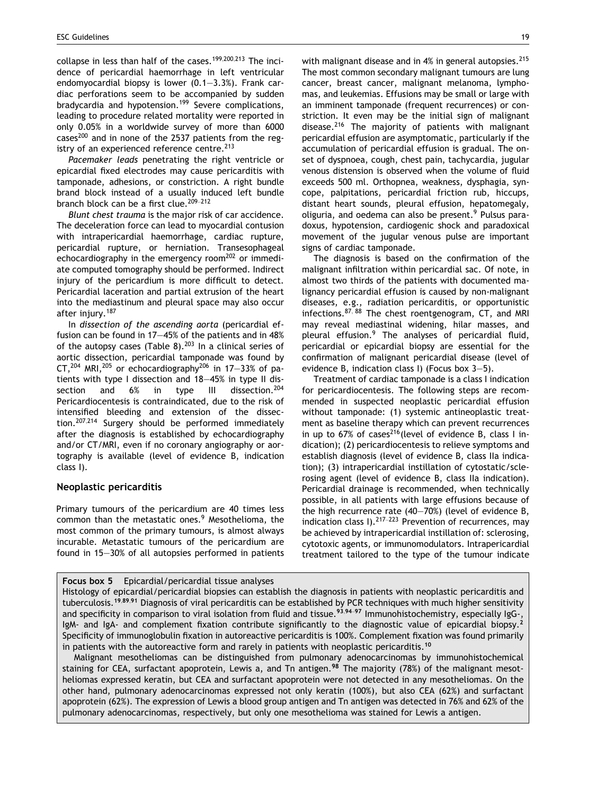collapse in less than half of the cases.<sup>199,200,213</sup> The incidence of pericardial haemorrhage in left ventricular endomyocardial biopsy is lower (0.1–3.3%). Frank cardiac perforations seem to be accompanied by sudden bradycardia and hypotension.<sup>199</sup> Severe complications, leading to procedure related mortality were reported in only 0.05% in a worldwide survey of more than 6000 cases<sup>200</sup> and in none of the 2537 patients from the registry of an experienced reference centre.<sup>213</sup>

Pacemaker leads penetrating the right ventricle or epicardial fixed electrodes may cause pericarditis with tamponade, adhesions, or constriction. A right bundle brand block instead of a usually induced left bundle branch block can be a first clue.<sup>209-212</sup>

Blunt chest trauma is the major risk of car accidence. The deceleration force can lead to myocardial contusion with intrapericardial haemorrhage, cardiac rupture, pericardial rupture, or herniation. Transesophageal echocardiography in the emergency room<sup>202</sup> or immediate computed tomography should be performed. Indirect injury of the pericardium is more difficult to detect. Pericardial laceration and partial extrusion of the heart into the mediastinum and pleural space may also occur after injury.<sup>187</sup>

In dissection of the ascending aorta (pericardial effusion can be found in 17–45% of the patients and in 48% of the autopsy cases (Table 8).<sup>203</sup> In a clinical series of aortic dissection, pericardial tamponade was found by CT,  $204$  MRI,  $205$  or echocardiography<sup>206</sup> in 17–33% of patients with type I dissection and  $18-45%$  in type II dissection.<sup>204</sup><br>section and  $6%$  in type III dissection.<sup>204</sup> section and 6% in type III dissection.<sup>204</sup> Pericardiocentesis is contraindicated, due to the risk of intensified bleeding and extension of the dissection.<sup>207</sup>;<sup>214</sup> Surgery should be performed immediately after the diagnosis is established by echocardiography and/or CT/MRI, even if no coronary angiography or aortography is available (level of evidence B, indication class I).

#### Neoplastic pericarditis

Primary tumours of the pericardium are 40 times less common than the metastatic ones.<sup>9</sup> Mesothelioma, the most common of the primary tumours, is almost always incurable. Metastatic tumours of the pericardium are found in 15–30% of all autopsies performed in patients with malignant disease and in 4% in general autopsies.<sup>215</sup> The most common secondary malignant tumours are lung cancer, breast cancer, malignant melanoma, lymphomas, and leukemias. Effusions may be small or large with an imminent tamponade (frequent recurrences) or constriction. It even may be the initial sign of malignant disease.<sup>216</sup> The majority of patients with malignant pericardial effusion are asymptomatic, particularly if the accumulation of pericardial effusion is gradual. The onset of dyspnoea, cough, chest pain, tachycardia, jugular venous distension is observed when the volume of fluid exceeds 500 ml. Orthopnea, weakness, dysphagia, syncope, palpitations, pericardial friction rub, hiccups, distant heart sounds, pleural effusion, hepatomegaly, oliguria, and oedema can also be present.<sup>9</sup> Pulsus paradoxus, hypotension, cardiogenic shock and paradoxical movement of the jugular venous pulse are important signs of cardiac tamponade.

The diagnosis is based on the confirmation of the malignant infiltration within pericardial sac. Of note, in almost two thirds of the patients with documented malignancy pericardial effusion is caused by non-malignant diseases, e.g., radiation pericarditis, or opportunistic infections.<sup>87, 88</sup> The chest roentgenogram, CT, and MRI may reveal mediastinal widening, hilar masses, and pleural effusion.<sup>9</sup> The analyses of pericardial fluid, pericardial or epicardial biopsy are essential for the confirmation of malignant pericardial disease (level of evidence B, indication class I) (Focus box 3–5).

Treatment of cardiac tamponade is a class I indication for pericardiocentesis. The following steps are recommended in suspected neoplastic pericardial effusion without tamponade: (1) systemic antineoplastic treatment as baseline therapy which can prevent recurrences in up to 67% of cases<sup>216</sup> (level of evidence B, class I indication); (2) pericardiocentesis to relieve symptoms and establish diagnosis (level of evidence B, class IIa indication); (3) intrapericardial instillation of cytostatic/sclerosing agent (level of evidence B, class IIa indication). Pericardial drainage is recommended, when technically possible, in all patients with large effusions because of the high recurrence rate (40–70%) (level of evidence B, indication class  $I$ ).<sup>217–223</sup> Prevention of recurrences, may be achieved by intrapericardial instillation of: sclerosing, cytotoxic agents, or immunomodulators. Intrapericardial treatment tailored to the type of the tumour indicate

#### Focus box 5 Epicardial/pericardial tissue analyses

Histology of epicardial/pericardial biopsies can establish the diagnosis in patients with neoplastic pericarditis and tuberculosis.<sup>19,89,91</sup> Diagnosis of viral pericarditis can be established by PCR techniques with much higher sensitivity and specificity in comparison to viral isolation from fluid and tissue.<sup>93,94-97</sup> Immunohistochemistry, especially IgG-, IgM- and IgA- and complement fixation contribute significantly to the diagnostic value of epicardial biopsy.<sup>2</sup> Specificity of immunoglobulin fixation in autoreactive pericarditis is 100%. Complement fixation was found primarily in patients with the autoreactive form and rarely in patients with neoplastic pericarditis.<sup>10</sup>

Malignant mesotheliomas can be distinguished from pulmonary adenocarcinomas by immunohistochemical staining for CEA, surfactant apoprotein, Lewis a, and Tn antigen.<sup>98</sup> The majority (78%) of the malignant mesotheliomas expressed keratin, but CEA and surfactant apoprotein were not detected in any mesotheliomas. On the other hand, pulmonary adenocarcinomas expressed not only keratin (100%), but also CEA (62%) and surfactant apoprotein (62%). The expression of Lewis a blood group antigen and Tn antigen was detected in 76% and 62% of the pulmonary adenocarcinomas, respectively, but only one mesothelioma was stained for Lewis a antigen.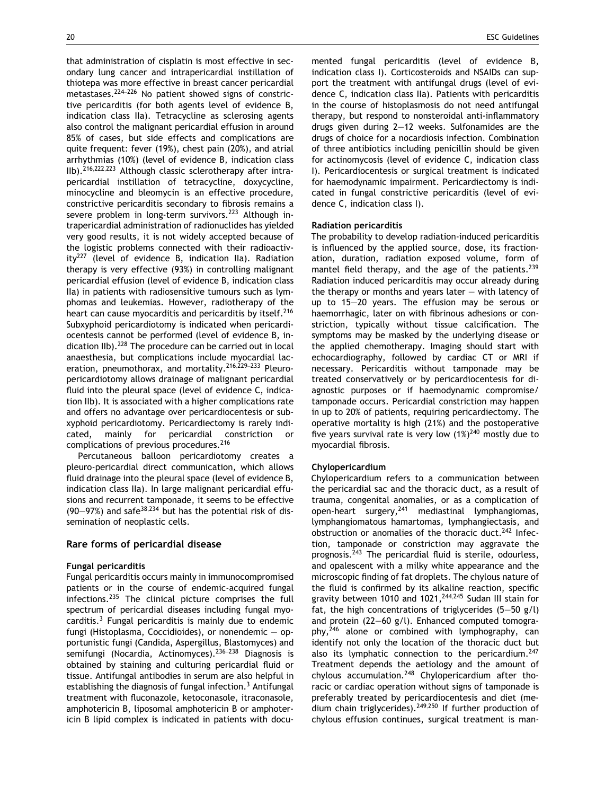that administration of cisplatin is most effective in secondary lung cancer and intrapericardial instillation of thiotepa was more effective in breast cancer pericardial metastases.<sup>224</sup>–<sup>226</sup> No patient showed signs of constrictive pericarditis (for both agents level of evidence B, indication class IIa). Tetracycline as sclerosing agents also control the malignant pericardial effusion in around 85% of cases, but side effects and complications are quite frequent: fever (19%), chest pain (20%), and atrial arrhythmias (10%) (level of evidence B, indication class IIb).<sup>216,222,223</sup> Although classic sclerotherapy after intrapericardial instillation of tetracycline, doxycycline, minocycline and bleomycin is an effective procedure, constrictive pericarditis secondary to fibrosis remains a severe problem in long-term survivors.<sup>223</sup> Although intrapericardial administration of radionuclides has yielded very good results, it is not widely accepted because of the logistic problems connected with their radioactivity<sup>227</sup> (level of evidence B, indication IIa). Radiation therapy is very effective (93%) in controlling malignant pericardial effusion (level of evidence B, indication class IIa) in patients with radiosensitive tumours such as lymphomas and leukemias. However, radiotherapy of the heart can cause myocarditis and pericarditis by itself.<sup>216</sup> Subxyphoid pericardiotomy is indicated when pericardiocentesis cannot be performed (level of evidence B, indication IIb).228 The procedure can be carried out in local anaesthesia, but complications include myocardial laceration, pneumothorax, and mortality.<sup>216,229–233</sup> Pleuropericardiotomy allows drainage of malignant pericardial fluid into the pleural space (level of evidence C, indication IIb). It is associated with a higher complications rate and offers no advantage over pericardiocentesis or subxyphoid pericardiotomy. Pericardiectomy is rarely indicated, mainly for pericardial constriction or complications of previous procedures.<sup>216</sup>

Percutaneous balloon pericardiotomy creates a pleuro-pericardial direct communication, which allows fluid drainage into the pleural space (level of evidence B, indication class IIa). In large malignant pericardial effusions and recurrent tamponade, it seems to be effective (90–97%) and safe<sup>38,234</sup> but has the potential risk of dissemination of neoplastic cells.

## Rare forms of pericardial disease

#### Fungal pericarditis

Fungal pericarditis occurs mainly in immunocompromised patients or in the course of endemic-acquired fungal infections.<sup>235</sup> The clinical picture comprises the full spectrum of pericardial diseases including fungal myocarditis.<sup>3</sup> Fungal pericarditis is mainly due to endemic fungi (Histoplasma, Coccidioides), or nonendemic – opportunistic fungi (Candida, Aspergillus, Blastomyces) and semifungi (Nocardia, Actinomyces).<sup>236-238</sup> Diagnosis is obtained by staining and culturing pericardial fluid or tissue. Antifungal antibodies in serum are also helpful in establishing the diagnosis of fungal infection.<sup>3</sup> Antifungal treatment with fluconazole, ketoconasole, itraconasole, amphotericin B, liposomal amphotericin B or amphotericin B lipid complex is indicated in patients with documented fungal pericarditis (level of evidence B, indication class I). Corticosteroids and NSAIDs can support the treatment with antifungal drugs (level of evidence C, indication class IIa). Patients with pericarditis in the course of histoplasmosis do not need antifungal therapy, but respond to nonsteroidal anti-inflammatory drugs given during 2–12 weeks. Sulfonamides are the drugs of choice for a nocardiosis infection. Combination of three antibiotics including penicillin should be given for actinomycosis (level of evidence C, indication class I). Pericardiocentesis or surgical treatment is indicated for haemodynamic impairment. Pericardiectomy is indicated in fungal constrictive pericarditis (level of evidence C, indication class I).

#### Radiation pericarditis

The probability to develop radiation-induced pericarditis is influenced by the applied source, dose, its fractionation, duration, radiation exposed volume, form of mantel field therapy, and the age of the patients.<sup>239</sup> Radiation induced pericarditis may occur already during the therapy or months and years later  $-$  with latency of up to 15–20 years. The effusion may be serous or haemorrhagic, later on with fibrinous adhesions or constriction, typically without tissue calcification. The symptoms may be masked by the underlying disease or the applied chemotherapy. Imaging should start with echocardiography, followed by cardiac CT or MRI if necessary. Pericarditis without tamponade may be treated conservatively or by pericardiocentesis for diagnostic purposes or if haemodynamic compromise/ tamponade occurs. Pericardial constriction may happen in up to 20% of patients, requiring pericardiectomy. The operative mortality is high (21%) and the postoperative five years survival rate is very low (1%)<sup>240</sup> mostly due to myocardial fibrosis.

#### Chylopericardium

Chylopericardium refers to a communication between the pericardial sac and the thoracic duct, as a result of trauma, congenital anomalies, or as a complication of open-heart surgery, $241$  mediastinal lymphangiomas, lymphangiomatous hamartomas, lymphangiectasis, and obstruction or anomalies of the thoracic duct.<sup>242</sup> Infection, tamponade or constriction may aggravate the prognosis. $243$  The pericardial fluid is sterile, odourless, and opalescent with a milky white appearance and the microscopic finding of fat droplets. The chylous nature of the fluid is confirmed by its alkaline reaction, specific gravity between 1010 and 1021,  $244,245$  Sudan III stain for fat, the high concentrations of triglycerides (5–50 g/l) and protein (22–60 g/l). Enhanced computed tomography,<sup>246</sup> alone or combined with lymphography, can identify not only the location of the thoracic duct but also its lymphatic connection to the pericardium. $247$ Treatment depends the aetiology and the amount of chylous accumulation. $248$  Chylopericardium after thoracic or cardiac operation without signs of tamponade is preferably treated by pericardiocentesis and diet (medium chain triglycerides).<sup>249,250</sup> If further production of chylous effusion continues, surgical treatment is man-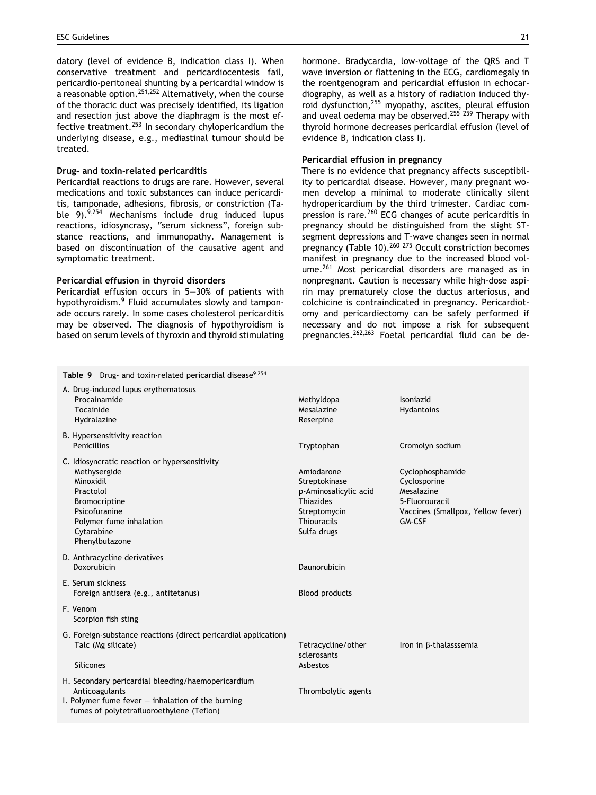datory (level of evidence B, indication class I). When conservative treatment and pericardiocentesis fail, pericardio-peritoneal shunting by a pericardial window is a reasonable option.<sup>251</sup>;<sup>252</sup> Alternatively, when the course of the thoracic duct was precisely identified, its ligation and resection just above the diaphragm is the most effective treatment.<sup>253</sup> In secondary chylopericardium the underlying disease, e.g., mediastinal tumour should be treated.

#### Drug- and toxin-related pericarditis

Pericardial reactions to drugs are rare. However, several medications and toxic substances can induce pericarditis, tamponade, adhesions, fibrosis, or constriction (Table 9).<sup>9,254</sup> Mechanisms include drug induced lupus reactions, idiosyncrasy, "serum sickness", foreign substance reactions, and immunopathy. Management is based on discontinuation of the causative agent and symptomatic treatment.

#### Pericardial effusion in thyroid disorders

Pericardial effusion occurs in 5–30% of patients with hypothyroidism.<sup>9</sup> Fluid accumulates slowly and tamponade occurs rarely. In some cases cholesterol pericarditis may be observed. The diagnosis of hypothyroidism is based on serum levels of thyroxin and thyroid stimulating hormone. Bradycardia, low-voltage of the QRS and T wave inversion or flattening in the ECG, cardiomegaly in the roentgenogram and pericardial effusion in echocardiography, as well as a history of radiation induced thyroid dysfunction,<sup>255</sup> myopathy, ascites, pleural effusion and uveal oedema may be observed.<sup>255–259</sup> Therapy with thyroid hormone decreases pericardial effusion (level of evidence B, indication class I).

#### Pericardial effusion in pregnancy

There is no evidence that pregnancy affects susceptibility to pericardial disease. However, many pregnant women develop a minimal to moderate clinically silent hydropericardium by the third trimester. Cardiac compression is rare.<sup>260</sup> ECG changes of acute pericarditis in pregnancy should be distinguished from the slight STsegment depressions and T-wave changes seen in normal pregnancy (Table 10).<sup>260</sup>–<sup>275</sup> Occult constriction becomes manifest in pregnancy due to the increased blood volume.<sup>261</sup> Most pericardial disorders are managed as in nonpregnant. Caution is necessary while high-dose aspirin may prematurely close the ductus arteriosus, and colchicine is contraindicated in pregnancy. Pericardiotomy and pericardiectomy can be safely performed if necessary and do not impose a risk for subsequent pregnancies.<sup>262</sup>;<sup>263</sup> Foetal pericardial fluid can be de-

| Table 9 Drug- and toxin-related pericardial disease <sup>9,254</sup>                                                                                                                 |                                                                                                                               |                                                                                                                 |
|--------------------------------------------------------------------------------------------------------------------------------------------------------------------------------------|-------------------------------------------------------------------------------------------------------------------------------|-----------------------------------------------------------------------------------------------------------------|
| A. Drug-induced lupus erythematosus<br>Procainamide<br>Tocainide<br>Hydralazine                                                                                                      | Methyldopa<br>Mesalazine<br>Reserpine                                                                                         | Isoniazid<br>Hydantoins                                                                                         |
| B. Hypersensitivity reaction<br>Penicillins                                                                                                                                          | Tryptophan                                                                                                                    | Cromolyn sodium                                                                                                 |
| C. Idiosyncratic reaction or hypersensitivity<br>Methysergide<br>Minoxidil<br>Practolol<br>Bromocriptine<br>Psicofuranine<br>Polymer fume inhalation<br>Cytarabine<br>Phenylbutazone | Amiodarone<br>Streptokinase<br>p-Aminosalicylic acid<br><b>Thiazides</b><br>Streptomycin<br><b>Thiouracils</b><br>Sulfa drugs | Cyclophosphamide<br>Cyclosporine<br>Mesalazine<br>5-Fluorouracil<br>Vaccines (Smallpox, Yellow fever)<br>GM-CSF |
| D. Anthracycline derivatives<br>Doxorubicin                                                                                                                                          | Daunorubicin                                                                                                                  |                                                                                                                 |
| E. Serum sickness<br>Foreign antisera (e.g., antitetanus)                                                                                                                            | <b>Blood products</b>                                                                                                         |                                                                                                                 |
| F. Venom<br>Scorpion fish sting                                                                                                                                                      |                                                                                                                               |                                                                                                                 |
| G. Foreign-substance reactions (direct pericardial application)<br>Talc (Mg silicate)                                                                                                | Tetracycline/other<br>sclerosants                                                                                             | Iron in $\beta$ -thalasssemia                                                                                   |
| <b>Silicones</b>                                                                                                                                                                     | Asbestos                                                                                                                      |                                                                                                                 |
| H. Secondary pericardial bleeding/haemopericardium<br>Anticoagulants<br>I. Polymer fume fever $-$ inhalation of the burning<br>fumes of polytetrafluoroethylene (Teflon)             | Thrombolytic agents                                                                                                           |                                                                                                                 |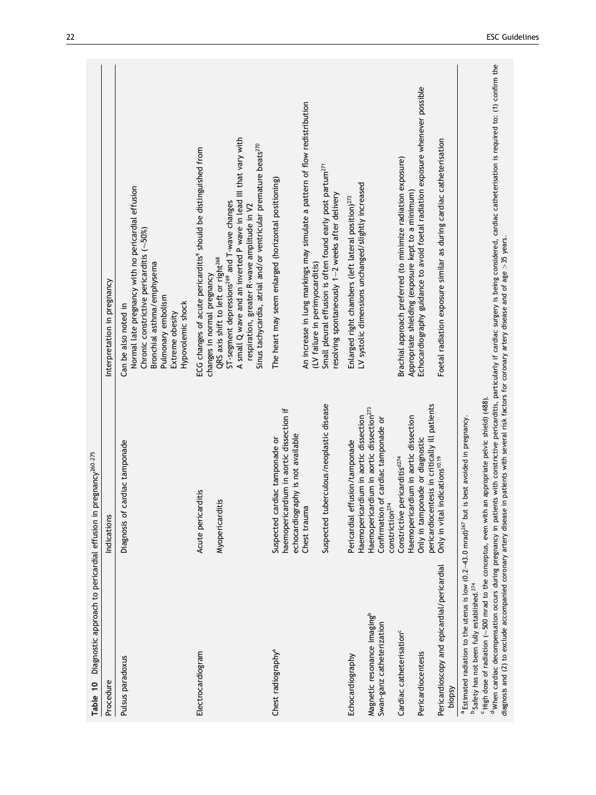| Diagnostic approach to pericardial effusion in pregnancy <sup>260-275</sup><br>Table 10                                                               |                                                                                                                                                                                                                                                                                                  |                                                                                                                                                                                                                                                                                                                                                                                                                            |
|-------------------------------------------------------------------------------------------------------------------------------------------------------|--------------------------------------------------------------------------------------------------------------------------------------------------------------------------------------------------------------------------------------------------------------------------------------------------|----------------------------------------------------------------------------------------------------------------------------------------------------------------------------------------------------------------------------------------------------------------------------------------------------------------------------------------------------------------------------------------------------------------------------|
| Procedure                                                                                                                                             | Indications                                                                                                                                                                                                                                                                                      | Interpretation in pregnancy                                                                                                                                                                                                                                                                                                                                                                                                |
| Pulsus paradoxus                                                                                                                                      | Diagnosis of cardiac tamponade                                                                                                                                                                                                                                                                   | Normal late pregnancy with no pericardial effusion<br>Chronic constrictive pericarditis (~50%)<br>Bronchial asthma/emphysema<br>Pulmonary embolism<br>Hypovolemic shock<br>Can be also noted in<br>Extreme obesity                                                                                                                                                                                                         |
| Electrocardiogram                                                                                                                                     | Acute pericarditis<br>Myopericarditis                                                                                                                                                                                                                                                            | A small Q wave and an inverted P wave in lead III that vary with<br>Sinus tachycardia, atrial and/or ventricular premature beats <sup>270</sup><br>ECG changes of acute pericarditis <sup>9</sup> should be distinguished from<br>ST-segment depressions <sup>269</sup> and T-wave changes<br>respiration, greater R-wave amplitude in V2<br>QRS axis shift to left or right <sup>268</sup><br>changes in normal pregnancy |
| Chest radiography <sup>a</sup>                                                                                                                        | Suspected tuberculous/neoplastic disease<br>haemopericardium in aortic dissection if<br>echocardiography is not available<br>rdiac tamponade or<br>Suspected car<br>Chest trauma                                                                                                                 | An increase in lung markings may simulate a pattern of flow redistribution<br>Small pleural effusion is often found early post partum <sup>271</sup><br>The heart may seem enlarged (horizontal positioning)<br>resolving spontaneously 1-2 weeks after delivery<br>(LV failure in perimyocarditis)                                                                                                                        |
| Magnetic resonance imaging <sup>b</sup><br>Swan-ganz catheterization<br>Echocardiography                                                              | Haemopericardium in aortic dissection <sup>273</sup><br>Haemopericardium in aortic dissection<br>Confirmation of cardiac tamponade or<br>Pericardial effusion/tamponade<br>constriction <sup>274</sup>                                                                                           | LV systolic dimensions unchanged/slightly increased<br>Enlarged right chambers (left lateral position) <sup>272</sup>                                                                                                                                                                                                                                                                                                      |
| Cardiac catheterisation <sup>c</sup>                                                                                                                  | Haemopericardium in aortic dissection<br>Constrictive pericarditisd274                                                                                                                                                                                                                           | Brachial approach preferred (to minimize radiation exposure)<br>Appropriate shielding (exposure kept to a minimum)                                                                                                                                                                                                                                                                                                         |
| Pericardioscopy and epicardial/pericardial<br>Pericardiocentesis<br>biopsy                                                                            | pericardiocentesis in critically ill patients<br>Only in tamponade or diagnostic<br>Only in vital indications <sup>10,19</sup>                                                                                                                                                                   | Echocardiography guidance to avoid foetal radiation exposure whenever possible<br>Foetal radiation exposure similar as during cardiac catheterisation                                                                                                                                                                                                                                                                      |
| $a$ Estimated radiation to the uterus is low (0.2-43.0 mrad) <sup>267</sup> but<br><sup>b</sup> Safety has not been fully established. <sup>274</sup> | diagnosis and (2) to exclude accompanied coronary artery disease in patients with several risk factors for coronary artery disease and of age >35 years.<br>"High dose of radiation (~500 mrad to the conceptus, even with an appropriate pelvic shield) (488).<br>is best avoided in pregnancy. | <sup>d</sup> When cardiac decompensation occurs during pregnancy in patients with constrictive pericarditis, particularly if cardiac surgery is being considered, cardiac catheterisation is required to: (1) confirm the                                                                                                                                                                                                  |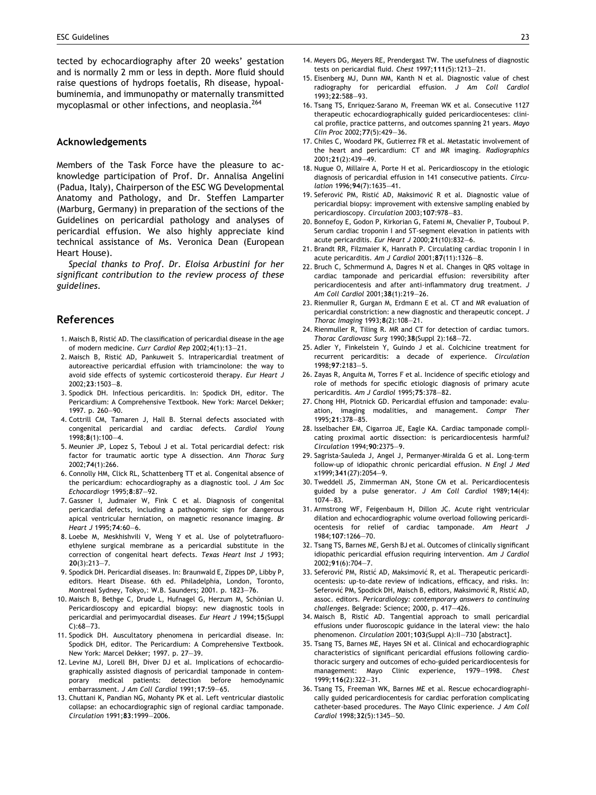tected by echocardiography after 20 weeks' gestation and is normally 2 mm or less in depth. More fluid should raise questions of hydrops foetalis, Rh disease, hypoalbuminemia, and immunopathy or maternally transmitted mycoplasmal or other infections, and neoplasia.<sup>264</sup>

#### Acknowledgements

Members of the Task Force have the pleasure to acknowledge participation of Prof. Dr. Annalisa Angelini (Padua, Italy), Chairperson of the ESC WG Developmental Anatomy and Pathology, and Dr. Steffen Lamparter (Marburg, Germany) in preparation of the sections of the Guidelines on pericardial pathology and analyses of pericardial effusion. We also highly appreciate kind technical assistance of Ms. Veronica Dean (European Heart House).

Special thanks to Prof. Dr. Eloisa Arbustini for her significant contribution to the review process of these guidelines.

#### References

- 1. Maisch B, Ristic AD. The classification of pericardial disease in the age of modern medicine. Curr Cardiol Rep 2002;4(1):13–21.
- 2. Maisch B, Ristic AD, Pankuweit S. Intrapericardial treatment of autoreactive pericardial effusion with triamcinolone: the way to avoid side effects of systemic corticosteroid therapy. Eur Heart J 2002;23:1503–8.
- 3. Spodick DH. Infectious pericarditis. In: Spodick DH, editor. The Pericardium: A Comprehensive Textbook. New York: Marcel Dekker; 1997. p. 260–90.
- 4. Cottrill CM, Tamaren J, Hall B. Sternal defects associated with congenital pericardial and cardiac defects. Cardiol Young 1998;8(1):100–4.
- 5. Meunier JP, Lopez S, Teboul J et al. Total pericardial defect: risk factor for traumatic aortic type A dissection. Ann Thorac Surg 2002;74(1):266.
- 6. Connolly HM, Click RL, Schattenberg TT et al. Congenital absence of the pericardium: echocardiography as a diagnostic tool. J Am Soc Echocardiogr 1995;8:87–92.
- 7. Gassner I, Judmaier W, Fink C et al. Diagnosis of congenital pericardial defects, including a pathognomic sign for dangerous apical ventricular herniation, on magnetic resonance imaging. Br Heart J 1995;74:60–6.
- 8. Loebe M, Meskhishvili V, Weng Y et al. Use of polytetrafluoroethylene surgical membrane as a pericardial substitute in the correction of congenital heart defects. Texas Heart Inst J 1993; 20(3):213–7.
- 9. Spodick DH. Pericardial diseases. In: Braunwald E, Zippes DP, Libby P, editors. Heart Disease. 6th ed. Philadelphia, London, Toronto, Montreal Sydney, Tokyo,: W.B. Saunders; 2001. p. 1823–76.
- 10. Maisch B, Bethge C, Drude L, Hufnagel G, Herzum M, Schönian U. Pericardioscopy and epicardial biopsy: new diagnostic tools in pericardial and perimyocardial diseases. Eur Heart J 1994;15(Suppl  $C$ :68–73.
- 11. Spodick DH. Auscultatory phenomena in pericardial disease. In: Spodick DH, editor. The Pericardium: A Comprehensive Textbook. New York: Marcel Dekker; 1997. p. 27–39.
- 12. Levine MJ, Lorell BH, Diver DJ et al. Implications of echocardiographically assisted diagnosis of pericardial tamponade in contemporary medical patients: detection before hemodynamic embarrassment. J Am Coll Cardiol 1991;17:59–65.
- 13. Chuttani K, Pandian NG, Mohanty PK et al. Left ventricular diastolic collapse: an echocardiographic sign of regional cardiac tamponade. Circulation 1991;83:1999–2006.
- 14. Meyers DG, Meyers RE, Prendergast TW. The usefulness of diagnostic tests on pericardial fluid. Chest 1997;111(5):1213–21.
- 15. Eisenberg MJ, Dunn MM, Kanth N et al. Diagnostic value of chest radiography for pericardial effusion. J Am Coll Cardiol 1993;22:588–93.
- 16. Tsang TS, Enriquez-Sarano M, Freeman WK et al. Consecutive 1127 therapeutic echocardiographically guided pericardiocenteses: clinical profile, practice patterns, and outcomes spanning 21 years. Mayo Clin Proc 2002;77(5):429–36.
- 17. Chiles C, Woodard PK, Gutierrez FR et al. Metastatic involvement of the heart and pericardium: CT and MR imaging. Radiographics 2001;21(2):439–49.
- 18. Nugue O, Millaire A, Porte H et al. Pericardioscopy in the etiologic diagnosis of pericardial effusion in 141 consecutive patients. Circulation 1996;94(7):1635–41.
- 19. Seferović PM, Ristić AD, Maksimović R et al. Diagnostic value of pericardial biopsy: improvement with extensive sampling enabled by pericardioscopy. Circulation 2003;107:978–83.
- 20. Bonnefoy E, Godon P, Kirkorian G, Fatemi M, Chevalier P, Touboul P. Serum cardiac troponin I and ST-segment elevation in patients with acute pericarditis. Eur Heart J 2000;21(10):832–6.
- 21. Brandt RR, Filzmaier K, Hanrath P. Circulating cardiac troponin I in acute pericarditis. Am J Cardiol 2001;87(11):1326–8.
- 22. Bruch C, Schmermund A, Dagres N et al. Changes in QRS voltage in cardiac tamponade and pericardial effusion: reversibility after pericardiocentesis and after anti-inflammatory drug treatment. J Am Coll Cardiol 2001;38(1):219–26.
- 23. Rienmuller R, Gurgan M, Erdmann E et al. CT and MR evaluation of pericardial constriction: a new diagnostic and therapeutic concept. J Thorac Imaging 1993;8(2):108–21.
- 24. Rienmuller R, Tiling R. MR and CT for detection of cardiac tumors. Thorac Cardiovasc Surg 1990;38(Suppl 2):168–72.
- 25. Adler Y, Finkelstein Y, Guindo J et al. Colchicine treatment for recurrent pericarditis: a decade of experience. Circulation 1998;97:2183–5.
- 26. Zayas R, Anguita M, Torres F et al. Incidence of specific etiology and role of methods for specific etiologic diagnosis of primary acute pericarditis. Am J Cardiol 1995;75:378–82.
- 27. Chong HH, Plotnick GD. Pericardial effusion and tamponade: evaluation, imaging modalities, and management. Compr Ther 1995;21:378–85.
- 28. Isselbacher EM, Cigarroa JE, Eagle KA. Cardiac tamponade complicating proximal aortic dissection: is pericardiocentesis harmful? Circulation 1994;90:2375–9.
- 29. Sagrista-Sauleda J, Angel J, Permanyer-Miralda G et al. Long-term follow-up of idiopathic chronic pericardial effusion. N Engl J Med x1999;341(27):2054–9.
- 30. Tweddell JS, Zimmerman AN, Stone CM et al. Pericardiocentesis guided by a pulse generator. J Am Coll Cardiol 1989;14(4): 1074–83.
- 31. Armstrong WF, Feigenbaum H, Dillon JC. Acute right ventricular dilation and echocardiographic volume overload following pericardiocentesis for relief of cardiac tamponade. Am Heart J 1984;107:1266–70.
- 32. Tsang TS, Barnes ME, Gersh BJ et al. Outcomes of clinically significant idiopathic pericardial effusion requiring intervention. Am J Cardiol 2002;91(6):704–7.
- 33. Seferović PM, Ristić AD, Maksimović R, et al. Therapeutic pericardiocentesis: up-to-date review of indications, efficacy, and risks. In: Seferović PM, Spodick DH, Maisch B, editors, Maksimović R, Ristić AD, assoc. editors. Pericardiology: contemporary answers to continuing challenges. Belgrade: Science; 2000, p. 417–426.
- 34. Maisch B, Ristic AD. Tangential approach to small pericardial effusions under fluoroscopic guidance in the lateral view: the halo phenomenon. Circulation 2001;103(Suppl A):II-730 [abstract].
- 35. Tsang TS, Barnes ME, Hayes SN et al. Clinical and echocardiographic characteristics of significant pericardial effusions following cardiothoracic surgery and outcomes of echo-guided pericardiocentesis for management: Mayo Clinic experience, 1979–1998. Chest 1999;116(2):322–31.
- 36. Tsang TS, Freeman WK, Barnes ME et al. Rescue echocardiographically guided pericardiocentesis for cardiac perforation complicating catheter-based procedures. The Mayo Clinic experience. J Am Coll Cardiol 1998;32(5):1345–50.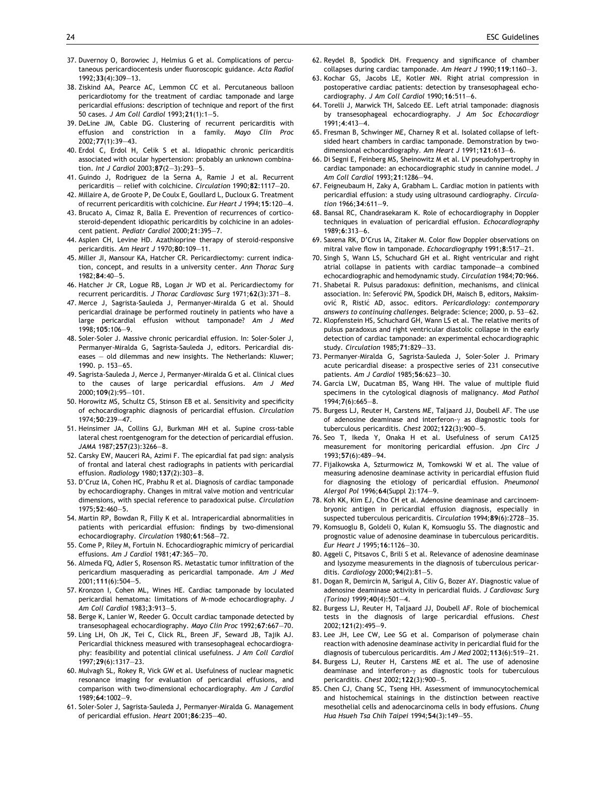- 37. Duvernoy O, Borowiec J, Helmius G et al. Complications of percutaneous pericardiocentesis under fluoroscopic guidance. Acta Radiol 1992;33(4):309–13.
- 38. Ziskind AA, Pearce AC, Lemmon CC et al. Percutaneous balloon pericardiotomy for the treatment of cardiac tamponade and large pericardial effusions: description of technique and report of the first 50 cases. J Am Coll Cardiol 1993;21(1):1–5.
- 39. DeLine JM, Cable DG. Clustering of recurrent pericarditis with effusion and constriction in a family. Mayo Clin Proc 2002;77(1):39–43.
- 40. Erdol C, Erdol H, Celik S et al. Idiopathic chronic pericarditis associated with ocular hypertension: probably an unknown combination. Int J Cardiol 2003;87(2–3):293–5.
- 41. Guindo J, Rodriguez de la Serna A, Ramie J et al. Recurrent pericarditis – relief with colchicine. Circulation 1990;82:1117–20.
- 42. Millaire A, de Groote P, De Coulx E, Goullard L, Ducloux G. Treatment of recurrent pericarditis with colchicine. Eur Heart J 1994;15:120–4.
- 43. Brucato A, Cimaz R, Balla E. Prevention of recurrences of corticosteroid-dependent idiopathic pericarditis by colchicine in an adolescent patient. Pediatr Cardiol 2000;21:395–7.
- 44. Asplen CH, Levine HD. Azathioprine therapy of steroid-responsive pericarditis. Am Heart J 1970;80:109–11.
- 45. Miller JI, Mansour KA, Hatcher CR. Pericardiectomy: current indication, concept, and results in a university center. Ann Thorac Surg 1982;84:40–5.
- 46. Hatcher Jr CR, Logue RB, Logan Jr WD et al. Pericardiectomy for recurrent pericarditis. J Thorac Cardiovasc Surg 1971;62(3):371–8.
- 47. Merce J, Sagrista-Sauleda J, Permanyer-Miralda G et al. Should pericardial drainage be performed routinely in patients who have a large pericardial effusion without tamponade? Am J Med 1998;105:106–9.
- 48. Soler-Soler J. Massive chronic pericardial effusion. In: Soler-Soler J, Permanyer-Miralda G, Sagrista-Sauleda J, editors. Pericardial diseases – old dilemmas and new insights. The Netherlands: Kluwer; 1990. p. 153–65.
- 49. Sagrista-Sauleda J, Merce J, Permanyer-Miralda G et al. Clinical clues to the causes of large pericardial effusions. Am J Med 2000;109(2):95–101.
- 50. Horowitz MS, Schultz CS, Stinson EB et al. Sensitivity and specificity of echocardiographic diagnosis of pericardial effusion. Circulation 1974;50:239–47.
- 51. Heinsimer JA, Collins GJ, Burkman MH et al. Supine cross-table lateral chest roentgenogram for the detection of pericardial effusion. JAMA 1987;257(23):3266–8.
- 52. Carsky EW, Mauceri RA, Azimi F. The epicardial fat pad sign: analysis of frontal and lateral chest radiographs in patients with pericardial effusion. Radiology 1980;137(2):303–8.
- 53. D'Cruz IA, Cohen HC, Prabhu R et al. Diagnosis of cardiac tamponade by echocardiography. Changes in mitral valve motion and ventricular dimensions, with special reference to paradoxical pulse. Circulation 1975;52:460–5.
- 54. Martin RP, Bowdan R, Filly K et al. Intrapericardial abnormalities in patients with pericardial effusion: findings by two-dimensional echocardiography. Circulation 1980;61:568–72.
- 55. Come P, Riley M, Fortuin N. Echocardiographic mimicry of pericardial effusions. Am J Cardiol 1981;47:365–70.
- 56. Almeda FQ, Adler S, Rosenson RS. Metastatic tumor infiltration of the pericardium masquerading as pericardial tamponade. Am J Med 2001;111(6):504–5.
- 57. Kronzon I, Cohen ML, Wines HE. Cardiac tamponade by loculated pericardial hematoma: limitations of M-mode echocardiography. J Am Coll Cardiol 1983;3:913–5.
- 58. Berge K, Lanier W, Reeder G. Occult cardiac tamponade detected by transesophageal echocardiography. Mayo Clin Proc 1992;67:667–70.
- 59. Ling LH, Oh JK, Tei C, Click RL, Breen JF, Seward JB, Tajik AJ. Pericardial thickness measured with transesophageal echocardiography: feasibility and potential clinical usefulness. J Am Coll Cardiol 1997;29(6):1317–23.
- 60. Mulvagh SL, Rokey R, Vick GW et al. Usefulness of nuclear magnetic resonance imaging for evaluation of pericardial effusions, and comparison with two-dimensional echocardiography. Am J Cardiol 1989;64:1002–9.
- 61. Soler-Soler J, Sagrista-Sauleda J, Permanyer-Miralda G. Management of pericardial effusion. Heart 2001;86:235–40.
- 62. Reydel B, Spodick DH. Frequency and significance of chamber collapses during cardiac tamponade. Am Heart J 1990;119:1160–3.
- 63. Kochar GS, Jacobs LE, Kotler MN. Right atrial compression in postoperative cardiac patients: detection by transesophageal echocardiography. J Am Coll Cardiol 1990;16:511–6.
- 64. Torelli J, Marwick TH, Salcedo EE. Left atrial tamponade: diagnosis by transesophageal echocardiography. J Am Soc Echocardiogr 1991;4:413–4.
- 65. Fresman B, Schwinger ME, Charney R et al. Isolated collapse of leftsided heart chambers in cardiac tamponade. Demonstration by twodimensional echocardiography. Am Heart J 1991;121:613-6.
- 66. Di Segni E, Feinberg MS, Sheinowitz M et al. LV pseudohypertrophy in cardiac tamponade: an echocardiographic study in cannine model. J Am Coll Cardiol 1993;21:1286–94.
- 67. Feigneubaum H, Zaky A, Grabham L. Cardiac motion in patients with pericardial effusion: a study using ultrasound cardiography. Circulation 1966;34:611–9.
- 68. Bansal RC, Chandrasekaram K. Role of echocardiography in Doppler techniques in evaluation of pericardial effusion. Echocardiography 1989;6:313–6.
- 69. Saxena RK, D'Crus IA, Zitaker M. Color flow Doppler observations on mitral valve flow in tamponade. Echocardiography 1991;8:517–21.
- 70. Singh S, Wann LS, Schuchard GH et al. Right ventricular and right atrial collapse in patients with cardiac tamponade–a combined echocardiographic and hemodynamic study. Circulation 1984;70:966.
- 71. Shabetai R. Pulsus paradoxus: definition, mechanisms, and clinical association. In: Seferović PM, Spodick DH, Maisch B, editors, Maksimovic R, Ristic AD, assoc. editors. Pericardiology: contemporary answers to continuing challenges. Belgrade: Science; 2000, p. 53–62.
- 72. Klopfenstein HS, Schuchard GH, Wann LS et al. The relative merits of pulsus paradoxus and right ventricular diastolic collapse in the early detection of cardiac tamponade: an experimental echocardiographic study. Circulation 1985;71:829–33.
- 73. Permanyer-Miralda G, Sagrista-Sauleda J, Soler-Soler J. Primary acute pericardial disease: a prospective series of 231 consecutive patients. Am J Cardiol 1985;56:623–30.
- 74. Garcia LW, Ducatman BS, Wang HH. The value of multiple fluid specimens in the cytological diagnosis of malignancy. Mod Pathol 1994;7(6):665–8.
- 75. Burgess LJ, Reuter H, Carstens ME, Taljaard JJ, Doubell AF. The use of adenosine deaminase and interferon- $\gamma$  as diagnostic tools for tuberculous pericarditis. Chest 2002;122(3):900–5.
- 76. Seo T, Ikeda Y, Onaka H et al. Usefulness of serum CA125 measurement for monitoring pericardial effusion. Jpn Circ J 1993;57(6):489–94.
- 77. Fijalkowska A, Szturmowicz M, Tomkowski W et al. The value of measuring adenosine deaminase activity in pericardial effusion fluid for diagnosing the etiology of pericardial effusion. Pneumonol Alergol Pol 1996;64(Suppl 2):174–9.
- 78. Koh KK, Kim EJ, Cho CH et al. Adenosine deaminase and carcinoembryonic antigen in pericardial effusion diagnosis, especially in suspected tuberculous pericarditis. Circulation 1994;89(6):2728–35.
- 79. Komsuoglu B, Goldeli O, Kulan K, Komsuoglu SS. The diagnostic and prognostic value of adenosine deaminase in tuberculous pericarditis. Eur Heart J 1995;16:1126–30.
- 80. Aggeli C, Pitsavos C, Brili S et al. Relevance of adenosine deaminase and lysozyme measurements in the diagnosis of tuberculous pericarditis. Cardiology 2000;94(2):81–5.
- 81. Dogan R, Demircin M, Sarigul A, Ciliv G, Bozer AY. Diagnostic value of adenosine deaminase activity in pericardial fluids. J Cardiovasc Surg (Torino) 1999;40(4):501–4.
- 82. Burgess LJ, Reuter H, Taljaard JJ, Doubell AF. Role of biochemical tests in the diagnosis of large pericardial effusions. Chest 2002;121(2):495–9.
- 83. Lee JH, Lee CW, Lee SG et al. Comparison of polymerase chain reaction with adenosine deaminase activity in pericardial fluid for the diagnosis of tuberculous pericarditis. Am J Med 2002;113(6):519–21.
- 84. Burgess LJ, Reuter H, Carstens ME et al. The use of adenosine deaminase and interferon- $\gamma$  as diagnostic tools for tuberculous pericarditis. Chest 2002;122(3):900–5.
- 85. Chen CJ, Chang SC, Tseng HH. Assessment of immunocytochemical and histochemical stainings in the distinction between reactive mesothelial cells and adenocarcinoma cells in body effusions. Chung Hua Hsueh Tsa Chih Taipei 1994;54(3):149–55.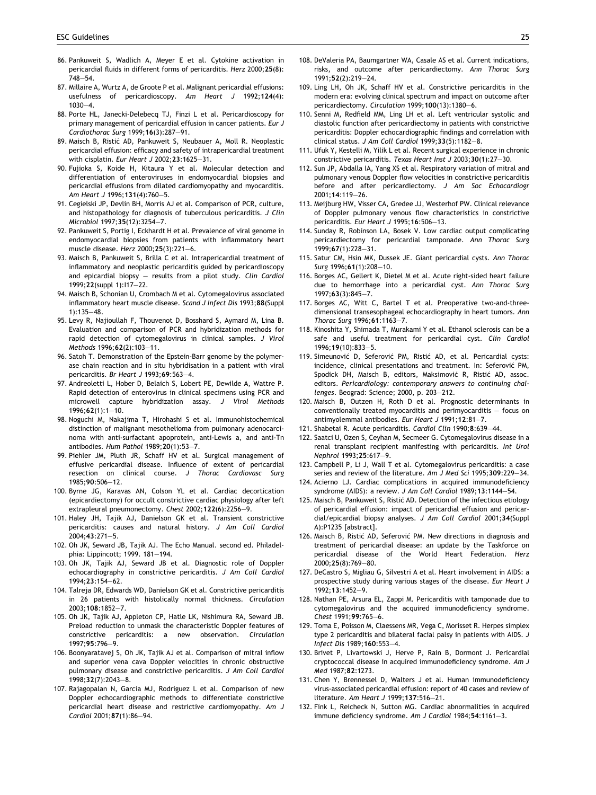- 86. Pankuweit S, Wadlich A, Meyer E et al. Cytokine activation in pericardial fluids in different forms of pericarditis. Herz 2000;25(8): 748–54.
- 87. Millaire A, Wurtz A, de Groote P et al. Malignant pericardial effusions: usefulness of pericardioscopy. Am Heart J 1992;124(4): 1030–4.
- 88. Porte HL, Janecki-Delebecq TJ, Finzi L et al. Pericardioscopy for primary management of pericardial effusion in cancer patients. Eur J Cardiothorac Surg 1999;16(3):287–91.
- 89. Maisch B, Ristic AD, Pankuweit S, Neubauer A, Moll R. Neoplastic pericardial effusion: efficacy and safety of intrapericardial treatment with cisplatin. Eur Heart J 2002;23:1625–31.
- 90. Fujioka S, Koide H, Kitaura Y et al. Molecular detection and differentiation of enteroviruses in endomyocardial biopsies and pericardial effusions from dilated cardiomyopathy and myocarditis. Am Heart J 1996;131(4):760–5.
- 91. Cegielski JP, Devlin BH, Morris AJ et al. Comparison of PCR, culture, and histopathology for diagnosis of tuberculous pericarditis. J Clin Microbiol 1997;35(12):3254–7.
- 92. Pankuweit S, Portig I, Eckhardt H et al. Prevalence of viral genome in endomyocardial biopsies from patients with inflammatory heart muscle disease. Herz 2000;25(3):221–6.
- 93. Maisch B, Pankuweit S, Brilla C et al. Intrapericardial treatment of inflammatory and neoplastic pericarditis guided by pericardioscopy and epicardial biopsy – results from a pilot study. Clin Cardiol 1999;22(suppl 1):I17–22.
- 94. Maisch B, Schonian U, Crombach M et al. Cytomegalovirus associated inflammatory heart muscle disease. Scand J Infect Dis 1993;88(Suppl 1):135–48.
- 95. Levy R, Najioullah F, Thouvenot D, Bosshard S, Aymard M, Lina B. Evaluation and comparison of PCR and hybridization methods for rapid detection of cytomegalovirus in clinical samples. J Virol Methods 1996;62(2):103–11.
- 96. Satoh T. Demonstration of the Epstein-Barr genome by the polymerase chain reaction and in situ hybridisation in a patient with viral pericarditis. Br Heart J 1993;69:563–4.
- 97. Andreoletti L, Hober D, Belaich S, Lobert PE, Dewilde A, Wattre P. Rapid detection of enterovirus in clinical specimens using PCR and microwell capture hybridization assay. J Virol Methods 1996;62(1):1–10.
- 98. Noguchi M, Nakajima T, Hirohashi S et al. Immunohistochemical distinction of malignant mesothelioma from pulmonary adenocarcinoma with anti-surfactant apoprotein, anti-Lewis a, and anti-Tn antibodies. Hum Pathol 1989;20(1):53–7.
- 99. Piehler JM, Pluth JR, Schaff HV et al. Surgical management of effusive pericardial disease. Influence of extent of pericardial resection on clinical course. J Thorac Cardiovasc Surg 1985;90:506–12.
- 100. Byrne JG, Karavas AN, Colson YL et al. Cardiac decortication (epicardiectomy) for occult constrictive cardiac physiology after left extrapleural pneumonectomy. Chest 2002;122(6):2256–9.
- 101. Haley JH, Tajik AJ, Danielson GK et al. Transient constrictive pericarditis: causes and natural history. J Am Coll Cardiol 2004;43:271–5.
- 102. Oh JK, Seward JB, Tajik AJ. The Echo Manual. second ed. Philadelphia: Lippincott; 1999. 181–194.
- 103. Oh JK, Tajik AJ, Seward JB et al. Diagnostic role of Doppler echocardiography in constrictive pericarditis. J Am Coll Cardiol 1994;23:154–62.
- 104. Talreja DR, Edwards WD, Danielson GK et al. Constrictive pericarditis in 26 patients with histolically normal thickness. Circulation 2003;108:1852–7.
- 105. Oh JK, Tajik AJ, Appleton CP, Hatle LK, Nishimura RA, Seward JB. Preload reduction to unmask the characteristic Doppler features of constrictive pericarditis: a new observation. Circulation 1997;95:796–9.
- 106. Boonyaratavej S, Oh JK, Tajik AJ et al. Comparison of mitral inflow and superior vena cava Doppler velocities in chronic obstructive pulmonary disease and constrictive pericarditis. J Am Coll Cardiol 1998;32(7):2043–8.
- 107. Rajagopalan N, Garcia MJ, Rodriguez L et al. Comparison of new Doppler echocardiographic methods to differentiate constrictive pericardial heart disease and restrictive cardiomyopathy. Am J Cardiol 2001;87(1):86–94.
- 108. DeValeria PA, Baumgartner WA, Casale AS et al. Current indications, risks, and outcome after pericardiectomy. Ann Thorac Surg 1991;52(2):219–24.
- 109. Ling LH, Oh JK, Schaff HV et al. Constrictive pericarditis in the modern era: evolving clinical spectrum and impact on outcome after pericardiectomy. Circulation 1999;100(13):1380–6.
- 110. Senni M, Redfield MM, Ling LH et al. Left ventricular systolic and diastolic function after pericardiectomy in patients with constrictive pericarditis: Doppler echocardiographic findings and correlation with clinical status. J Am Coll Cardiol 1999;33(5):1182–8.
- 111. Ufuk Y, Kestelli M, Yilik L et al. Recent surgical experience in chronic constrictive pericarditis. Texas Heart Inst J 2003;30(1):27–30.
- 112. Sun JP, Abdalla IA, Yang XS et al. Respiratory variation of mitral and pulmonary venous Doppler flow velocities in constrictive pericarditis before and after pericardiectomy. J Am Soc Echocardiogr 2001;14:119–26.
- 113. Meijburg HW, Visser CA, Gredee JJ, Westerhof PW. Clinical relevance of Doppler pulmonary venous flow characteristics in constrictive pericarditis. Eur Heart J 1995;16:506-13.
- 114. Sunday R, Robinson LA, Bosek V. Low cardiac output complicating pericardiectomy for pericardial tamponade. Ann Thorac Surg 1999;67(1):228–31.
- 115. Satur CM, Hsin MK, Dussek JE. Giant pericardial cysts. Ann Thorac Surg 1996;61(1):208–10.
- 116. Borges AC, Gellert K, Dietel M et al. Acute right-sided heart failure due to hemorrhage into a pericardial cyst. Ann Thorac Surg 1997;63(3):845–7.
- 117. Borges AC, Witt C, Bartel T et al. Preoperative two-and-threedimensional transesophageal echocardiography in heart tumors. Ann Thorac Surg 1996;61:1163–7.
- 118. Kinoshita Y, Shimada T, Murakami Y et al. Ethanol sclerosis can be a safe and useful treatment for pericardial cyst. Clin Cardiol 1996;19(10):833–5.
- 119. Simeunovic D, Seferovic PM, Ristic AD, et al. Pericardial cysts: incidence, clinical presentations and treatment. In: Seferovic PM, Spodick DH, Maisch B, editors, Maksimović R, Ristić AD, assoc. editors. Pericardiology: contemporary answers to continuing challenges. Beograd: Science; 2000, p. 203–212.
- 120. Maisch B, Outzen H, Roth D et al. Prognostic determinants in conventionally treated myocarditis and perimyocarditis – focus on antimyolemmal antibodies. Eur Heart J 1991;12:81–7.
- 121. Shabetai R. Acute pericarditis. Cardiol Clin 1990;8:639–44.
- 122. Saatci U, Ozen S, Ceyhan M, Secmeer G. Cytomegalovirus disease in a renal transplant recipient manifesting with pericarditis. Int Urol Nephrol 1993;25:617–9.
- 123. Campbell P, Li J, Wall T et al. Cytomegalovirus pericarditis: a case series and review of the literature. Am J Med Sci 1995;309:229-34.
- 124. Acierno LJ. Cardiac complications in acquired immunodeficiency syndrome (AIDS): a review. J Am Coll Cardiol 1989;13:1144-54.
- 125. Maisch B, Pankuweit S, Ristic AD. Detection of the infectious etiology of pericardial effusion: impact of pericardial effusion and pericardial/epicardial biopsy analyses. J Am Coll Cardiol 2001;34(Suppl A):P1235 [abstract].
- 126. Maisch B, Ristic AD, Seferovic PM. New directions in diagnosis and treatment of pericardial disease: an update by the Taskforce on pericardial disease of the World Heart Federation. Herz 2000;25(8):769–80.
- 127. DeCastro S, Migliau G, Silvestri A et al. Heart involvement in AIDS: a prospective study during various stages of the disease. Eur Heart J 1992;13:1452–9.
- 128. Nathan PE, Arsura EL, Zappi M. Pericarditis with tamponade due to cytomegalovirus and the acquired immunodeficiency syndrome. Chest 1991;99:765–6.
- 129. Toma E, Poisson M, Claessens MR, Vega C, Morisset R. Herpes simplex type 2 pericarditis and bilateral facial palsy in patients with AIDS. J Infect Dis 1989;160:553–4.
- 130. Brivet P, Livartowski J, Herve P, Rain B, Dormont J. Pericardial cryptococcal disease in acquired immunodeficiency syndrome. Am J Med 1987;82:1273.
- 131. Chen Y, Brennessel D, Walters J et al. Human immunodeficiency virus-associated pericardial effusion: report of 40 cases and review of literature. Am Heart J 1999;137:516–21.
- 132. Fink L, Reicheck N, Sutton MG. Cardiac abnormalities in acquired immune deficiency syndrome. Am J Cardiol 1984;54:1161–3.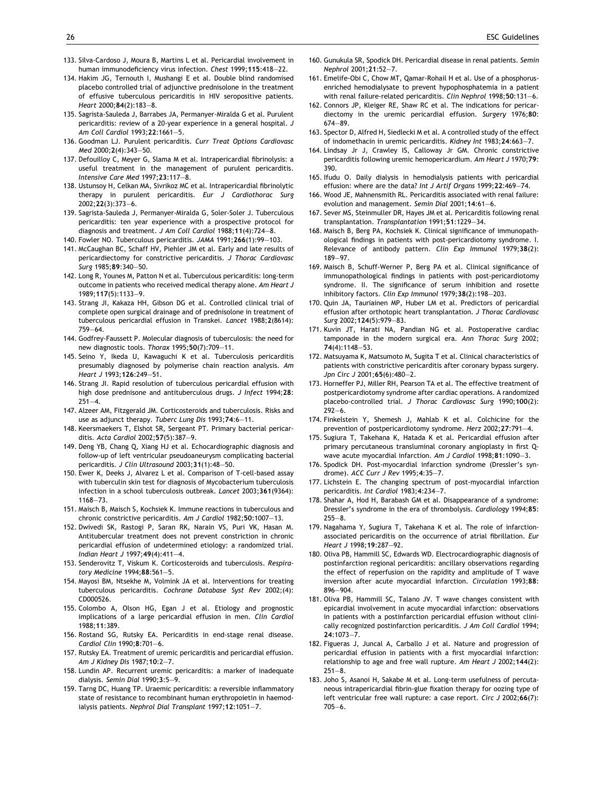- 133. Silva-Cardoso J, Moura B, Martins L et al. Pericardial involvement in human immunodeficiency virus infection. Chest 1999:115:418-22.
- 134. Hakim JG, Ternouth I, Mushangi E et al. Double blind randomised placebo controlled trial of adjunctive prednisolone in the treatment of effusive tuberculous pericarditis in HIV seropositive patients. Heart 2000;84(2):183–8.
- 135. Sagrista-Sauleda J, Barrabes JA, Permanyer-Miralda G et al. Purulent pericarditis: review of a 20-year experience in a general hospital. J Am Coll Cardiol 1993;22:1661–5.
- 136. Goodman LJ. Purulent pericarditis. Curr Treat Options Cardiovasc Med 2000;2(4):343–50.
- 137. Defouilloy C, Meyer G, Slama M et al. Intrapericardial fibrinolysis: a useful treatment in the management of purulent pericarditis. Intensive Care Med 1997;23:117–8.
- 138. Ustunsoy H, Celkan MA, Sivrikoz MC et al. Intrapericardial fibrinolytic therapy in purulent pericarditis. Eur J Cardiothorac Surg 2002;22(3):373–6.
- 139. Sagrista-Sauleda J, Permanyer-Miralda G, Soler-Soler J. Tuberculous pericarditis: ten year experience with a prospective protocol for diagnosis and treatment. J Am Coll Cardiol 1988;11(4):724–8.
- 140. Fowler NO. Tuberculous pericarditis. JAMA 1991;266(1):99–103.
- 141. McCaughan BC, Schaff HV, Piehler JM et al. Early and late results of pericardiectomy for constrictive pericarditis. J Thorac Cardiovasc Surg 1985;89:340–50.
- 142. Long R, Younes M, Patton N et al. Tuberculous pericarditis: long-term outcome in patients who received medical therapy alone. Am Heart J 1989;117(5):1133–9.
- 143. Strang JI, Kakaza HH, Gibson DG et al. Controlled clinical trial of complete open surgical drainage and of prednisolone in treatment of tuberculous pericardial effusion in Transkei. Lancet 1988;2(8614): 759–64.
- 144. Godfrey-Faussett P. Molecular diagnosis of tuberculosis: the need for new diagnostic tools. Thorax 1995;50(7):709–11.
- 145. Seino Y, Ikeda U, Kawaguchi K et al. Tuberculosis pericarditis presumably diagnosed by polymerise chain reaction analysis. Am Heart J 1993;126:249–51.
- 146. Strang JI. Rapid resolution of tuberculous pericardial effusion with high dose prednisone and antituberculous drugs. J Infect 1994;28: 251–4.
- 147. Alzeer AM, Fitzgerald JM. Corticosteroids and tuberculosis. Risks and use as adjunct therapy. Tuberc Lung Dis 1993;74:6–11.
- 148. Keersmaekers T, Elshot SR, Sergeant PT. Primary bacterial pericarditis. Acta Cardiol 2002;57(5):387–9.
- 149. Deng YB, Chang Q, Xiang HJ et al. Echocardiographic diagnosis and follow-up of left ventricular pseudoaneurysm complicating bacterial pericarditis. J Clin Ultrasound 2003;31(1):48–50.
- 150. Ewer K, Deeks J, Alvarez L et al. Comparison of T-cell-based assay with tuberculin skin test for diagnosis of Mycobacterium tuberculosis infection in a school tuberculosis outbreak. Lancet 2003;361(9364): 1168–73.
- 151. Maisch B, Maisch S, Kochsiek K. Immune reactions in tuberculous and chronic constrictive pericarditis. Am J Cardiol 1982;50:1007–13.
- 152. Dwivedi SK, Rastogi P, Saran RK, Narain VS, Puri VK, Hasan M. Antitubercular treatment does not prevent constriction in chronic pericardial effusion of undetermined etiology: a randomized trial. Indian Heart J 1997;49(4):411–4.
- 153. Senderovitz T, Viskum K. Corticosteroids and tuberculosis. Respiratory Medicine 1994;88:561–5.
- 154. Mayosi BM, Ntsekhe M, Volmink JA et al. Interventions for treating tuberculous pericarditis. Cochrane Database Syst Rev 2002;(4): CD000526.
- 155. Colombo A, Olson HG, Egan J et al. Etiology and prognostic implications of a large pericardial effusion in men. Clin Cardiol 1988;11:389.
- 156. Rostand SG, Rutsky EA. Pericarditis in end-stage renal disease. Cardiol Clin 1990;8:701–6.
- 157. Rutsky EA. Treatment of uremic pericarditis and pericardial effusion. Am J Kidney Dis 1987;10:2–7.
- 158. Lundin AP. Recurrent uremic pericarditis: a marker of inadequate dialysis. Semin Dial 1990;3:5-9.
- 159. Tarng DC, Huang TP. Uraemic pericarditis: a reversible inflammatory state of resistance to recombinant human erythropoietin in haemodialysis patients. Nephrol Dial Transplant 1997;12:1051–7.
- 160. Gunukula SR, Spodick DH. Pericardial disease in renal patients. Semin Nephrol 2001;21:52–7.
- 161. Emelife-Obi C, Chow MT, Qamar-Rohail H et al. Use of a phosphorusenriched hemodialysate to prevent hypophosphatemia in a patient with renal failure-related pericarditis. Clin Nephrol 1998;50:131–6.
- 162. Connors JP, Kleiger RE, Shaw RC et al. The indications for pericardiectomy in the uremic pericardial effusion. Surgery 1976;80: 674–89.
- 163. Spector D, Alfred H, Siedlecki M et al. A controlled study of the effect of indomethacin in uremic pericarditis. Kidney Int 1983;24:663–7.
- 164. Lindsay Jr J, Crawley IS, Calloway Jr GM. Chronic constrictive pericarditis following uremic hemopericardium. Am Heart J 1970;79: 390.
- 165. Ifudu O. Daily dialysis in hemodialysis patients with pericardial effusion: where are the data? Int J Artif Organs 1999;22:469–74.
- 166. Wood JE, Mahnensmith RL. Pericarditis associated with renal failure: evolution and management. Semin Dial 2001;14:61–6.
- 167. Sever MS, Steinmuller DR, Hayes JM et al. Pericarditis following renal transplantation. Transplantation 1991;51:1229–34.
- 168. Maisch B, Berg PA, Kochsiek K. Clinical significance of immunopathological findings in patients with post-pericardiotomy syndrome. I. Relevance of antibody pattern. Clin Exp Immunol 1979;38(2): 189–97.
- 169. Maisch B, Schuff-Werner P, Berg PA et al. Clinical significance of immunopathological findings in patients with post-pericardiotomy syndrome. II. The significance of serum inhibition and rosette inhibitory factors. Clin Exp Immunol 1979;38(2):198–203.
- 170. Quin JA, Tauriainen MP, Huber LM et al. Predictors of pericardial effusion after orthotopic heart transplantation. J Thorac Cardiovasc Surg 2002;124(5):979–83.
- 171. Kuvin JT, Harati NA, Pandian NG et al. Postoperative cardiac tamponade in the modern surgical era. Ann Thorac Surg 2002; 74(4):1148–53.
- 172. Matsuyama K, Matsumoto M, Sugita T et al. Clinical characteristics of patients with constrictive pericarditis after coronary bypass surgery. Jpn Circ J 2001;65(6):480–2.
- 173. Horneffer PJ, Miller RH, Pearson TA et al. The effective treatment of postpericardiotomy syndrome after cardiac operations. A randomized placebo-controlled trial. J Thorac Cardiovasc Surg 1990;100(2):  $292 - 6$ .
- 174. Finkelstein Y, Shemesh J, Mahlab K et al. Colchicine for the prevention of postpericardiotomy syndrome. Herz 2002;27:791–4.
- 175. Sugiura T, Takehana K, Hatada K et al. Pericardial effusion after primary percutaneous transluminal coronary angioplasty in first Qwave acute myocardial infarction. Am J Cardiol 1998;81:1090–3.
- 176. Spodick DH. Post-myocardial infarction syndrome (Dressler's syndrome). ACC Curr J Rev 1995;4:35–7.
- 177. Lichstein E. The changing spectrum of post-myocardial infarction pericarditis. Int Cardiol 1983;4:234–7.
- 178. Shahar A, Hod H, Barabash GM et al. Disappearance of a syndrome: Dressler's syndrome in the era of thrombolysis. Cardiology 1994;85: 255–8.
- 179. Nagahama Y, Sugiura T, Takehana K et al. The role of infarctionassociated pericarditis on the occurrence of atrial fibrillation. Eur Heart J 1998;19:287–92.
- 180. Oliva PB, Hammill SC, Edwards WD. Electrocardiographic diagnosis of postinfarction regional pericarditis: ancillary observations regarding the effect of reperfusion on the rapidity and amplitude of T wave inversion after acute myocardial infarction. Circulation 1993;88: 896–904.
- 181. Oliva PB, Hammill SC, Talano JV. T wave changes consistent with epicardial involvement in acute myocardial infarction: observations in patients with a postinfarction pericardial effusion without clinically recognized postinfarction pericarditis. J Am Coll Cardiol 1994; 24:1073–7.
- 182. Figueras J, Juncal A, Carballo J et al. Nature and progression of pericardial effusion in patients with a first myocardial infarction: relationship to age and free wall rupture. Am Heart J 2002;144(2):  $251 - 8$
- 183. Joho S, Asanoi H, Sakabe M et al. Long-term usefulness of percutaneous intrapericardial fibrin-glue fixation therapy for oozing type of left ventricular free wall rupture: a case report. Circ J 2002;66(7): 705–6.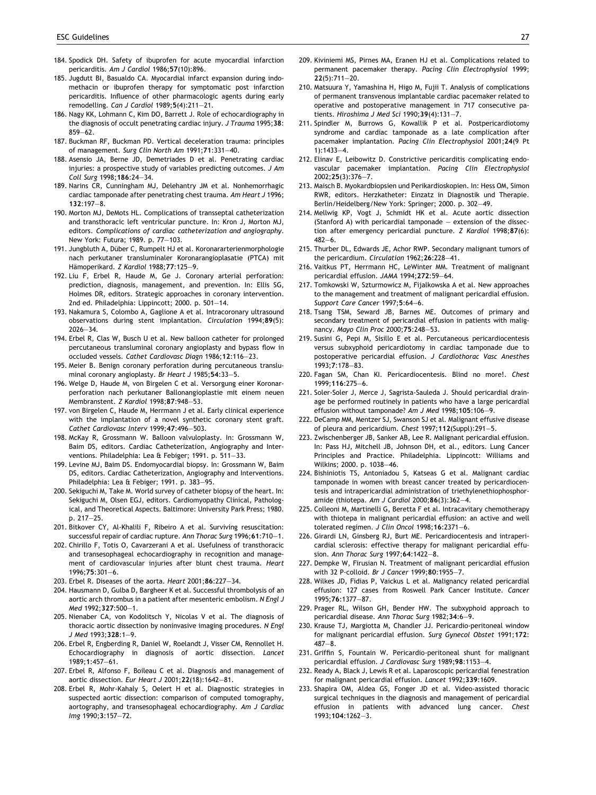- 185. Jugdutt BI, Basualdo CA. Myocardial infarct expansion during indomethacin or ibuprofen therapy for symptomatic post infarction pericarditis. Influence of other pharmacologic agents during early remodelling. Can J Cardiol 1989;5(4):211–21.
- 186. Nagy KK, Lohmann C, Kim DO, Barrett J. Role of echocardiography in the diagnosis of occult penetrating cardiac injury. J Trauma 1995;38: 859–62.
- 187. Buckman RF, Buckman PD. Vertical deceleration trauma: principles of management. Surg Clin North Am 1991;71:331–40.
- 188. Asensio JA, Berne JD, Demetriades D et al. Penetrating cardiac injuries: a prospective study of variables predicting outcomes. J Am Coll Surg 1998;186:24–34.
- 189. Narins CR, Cunningham MJ, Delehantry JM et al. Nonhemorrhagic cardiac tamponade after penetrating chest trauma. Am Heart J 1996; 132:197–8.
- 190. Morton MJ, DeMots HL. Complications of transseptal catheterization and transthoracic left ventricular puncture. In: Kron J, Morton MJ, editors. Complications of cardiac catheterization and angiography. New York: Futura; 1989. p. 77–103.
- 191. Jungbluth A, Düber C, Rumpelt HJ et al. Koronararterienmorphologie nach perkutaner transluminaler Koronarangioplasatie (PTCA) mit Hämoperikard. Z Kardiol 1988;77:125-9.
- 192. Liu F, Erbel R, Haude M, Ge J. Coronary arterial perforation: prediction, diagnosis, management, and prevention. In: Ellis SG, Holmes DR, editors. Strategic approaches in coronary intervention. 2nd ed. Philadelphia: Lippincott; 2000. p. 501–14.
- 193. Nakamura S, Colombo A, Gaglione A et al. Intracoronary ultrasound observations during stent implantation. Circulation 1994;89(5): 2026–34.
- 194. Erbel R, Clas W, Busch U et al. New balloon catheter for prolonged percutaneous transluminal coronary angioplasty and bypass flow in occluded vessels. Cathet Cardiovasc Diagn 1986;12:116–23.
- 195. Meier B. Benign coronary perforation during percutaneous transluminal coronary angioplasty. Br Heart J 1985;54:33–5.
- 196. Welge D, Haude M, von Birgelen C et al. Versorgung einer Koronarperforation nach perkutaner Ballonangioplastie mit einem neuen Membranstent. Z Kardiol 1998;87:948–53.
- 197. von Birgelen C, Haude M, Herrmann J et al. Early clinical experience with the implantation of a novel synthetic coronary stent graft. Cathet Cardiovasc Interv 1999;47:496–503.
- 198. McKay R, Grossmann W. Balloon valvuloplasty. In: Grossmann W, Baim DS, editors. Cardiac Catheterization, Angiography and Interventions. Philadelphia: Lea & Febiger; 1991. p. 511–33.
- 199. Levine MJ, Baim DS. Endomyocardial biopsy. In: Grossmann W, Baim DS, editors. Cardiac Catheterization, Angiography and Interventions. Philadelphia: Lea & Febiger; 1991. p. 383–95.
- 200. Sekiguchi M, Take M. World survey of catheter biopsy of the heart. In: Sekiguchi M, Olsen EGJ, editors. Cardiomyopathy Clinical, Pathological, and Theoretical Aspects. Baltimore: University Park Press; 1980. p. 217–25.
- 201. Bitkover CY, Al-Khalili F, Ribeiro A et al. Surviving resuscitation: successful repair of cardiac rupture. Ann Thorac Surg 1996;61:710–1.
- 202. Chirillo F, Totis O, Cavarzerani A et al. Usefulness of transthoracic and transesophageal echocardiography in recognition and management of cardiovascular injuries after blunt chest trauma. Heart 1996;75:301–6.
- 203. Erbel R. Diseases of the aorta. Heart 2001;86:227–34.
- 204. Hausmann D, Gulba D, Bargheer K et al. Successful thrombolysis of an aortic arch thrombus in a patient after mesenteric embolism. N Engl J Med 1992;327:500–1.
- 205. Nienaber CA, von Kodolitsch Y, Nicolas V et al. The diagnosis of thoracic aortic dissection by noninvasive imaging procedures. N Engl J Med 1993;328:1–9.
- 206. Erbel R, Engberding R, Daniel W, Roelandt J, Visser CM, Rennollet H. Echocardiography in diagnosis of aortic dissection. Lancet 1989;1:457–61.
- 207. Erbel R, Alfonso F, Boileau C et al. Diagnosis and management of aortic dissection. Eur Heart J 2001;22(18):1642–81.
- 208. Erbel R, Mohr-Kahaly S, Oelert H et al. Diagnostic strategies in suspected aortic dissection: comparison of computed tomography, aortography, and transesophageal echocardiography. Am J Cardiac Img 1990;3:157–72.
- 209. Kiviniemi MS, Pirnes MA, Eranen HJ et al. Complications related to permanent pacemaker therapy. Pacing Clin Electrophysiol 1999; 22(5):711–20.
- 210. Matsuura Y, Yamashina H, Higo M, Fujii T. Analysis of complications of permanent transvenous implantable cardiac pacemaker related to operative and postoperative management in 717 consecutive patients. Hiroshima J Med Sci 1990;39(4):131–7.
- 211. Spindler M, Burrows G, Kowallik P et al. Postpericardiotomy syndrome and cardiac tamponade as a late complication after pacemaker implantation. Pacing Clin Electrophysiol 2001;24(9 Pt 1):1433–4.
- 212. Elinav E, Leibowitz D. Constrictive pericarditis complicating endovascular pacemaker implantation. Pacing Clin Electrophysiol 2002;25(3):376–7.
- 213. Maisch B. Myokardbiopsien und Perikardioskopien. In: Hess OM, Simon RWR, editors. Herzkatheter: Einzatz in Diagnostik und Therapie. Berlin/Heidelberg/New York: Springer; 2000. p. 302–49.
- 214. Mellwig KP, Vogt J, Schmidt HK et al. Acute aortic dissection (Stanford A) with pericardial tamponade – extension of the dissection after emergency pericardial puncture. Z Kardiol 1998;87(6): 482–6.
- 215. Thurber DL, Edwards JE, Achor RWP. Secondary malignant tumors of the pericardium. Circulation 1962;26:228–41.
- 216. Vaitkus PT, Herrmann HC, LeWinter MM. Treatment of malignant pericardial effusion. JAMA 1994;272:59–64.
- 217. Tomkowski W, Szturmowicz M, Fijalkowska A et al. New approaches to the management and treatment of malignant pericardial effusion. Support Care Cancer 1997;5:64–6.
- 218. Tsang TSM, Seward JB, Barnes ME. Outcomes of primary and secondary treatment of pericardial effusion in patients with malignancy. Mayo Clin Proc 2000;75:248–53.
- 219. Susini G, Pepi M, Sisillo E et al. Percutaneous pericardiocentesis versus subxyphoid pericardiotomy in cardiac tamponade due to postoperative pericardial effusion. J Cardiothorac Vasc Anesthes 1993;7:178–83.
- 220. Fagan SM, Chan KI. Pericardiocentesis. Blind no more!. Chest 1999;116:275–6.
- 221. Soler-Soler J, Merce J, Sagrista-Sauleda J. Should pericardial drainage be performed routinely in patients who have a large pericardial effusion without tamponade? Am J Med 1998;105:106–9.
- 222. DeCamp MM, Mentzer SJ, Swanson SJ et al. Malignant effusive disease of pleura and pericardium. Chest 1997;112(Suppl):291–5.
- 223. Zwischenberger JB, Sanker AB, Lee R. Malignant pericardial effusion. In: Pass HJ, Mitchell JB, Johnson DH, et al., editors. Lung Cancer Principles and Practice. Philadelphia. Lippincott: Williams and Wilkins; 2000. p. 1038–46.
- 224. Bishiniotis TS, Antoniadou S, Katseas G et al. Malignant cardiac tamponade in women with breast cancer treated by pericardiocentesis and intrapericardial administration of triethylenethiophosphoramide (thiotepa. Am J Cardiol 2000;86(3):362–4.
- 225. Colleoni M, Martinelli G, Beretta F et al. Intracavitary chemotherapy with thiotepa in malignant pericardial effusion: an active and well tolerated regimen. J Clin Oncol 1998;16:2371–6.
- 226. Girardi LN, Ginsberg RJ, Burt ME. Pericardiocentesis and intrapericardial sclerosis: effective therapy for malignant pericardial effusion. Ann Thorac Surg 1997;64:1422–8.
- 227. Dempke W, Firusian N. Treatment of malignant pericardial effusion with 32 P-colloid. Br J Cancer 1999; 80:1955-7.
- 228. Wilkes JD, Fidias P, Vaickus L et al. Malignancy related pericardial effusion: 127 cases from Roswell Park Cancer Institute. Cancer 1995;76:1377–87.
- 229. Prager RL, Wilson GH, Bender HW. The subxyphoid approach to pericardial disease. Ann Thorac Surg 1982;34:6–9.
- 230. Krause TJ, Margiotta M, Chandler JJ. Pericardio-peritoneal window for malignant pericardial effusion. Surg Gynecol Obstet 1991;172: 487–8.
- 231. Griffin S, Fountain W. Pericardio-peritoneal shunt for malignant pericardial effusion. J Cardiovasc Surg 1989;98:1153–4.
- 232. Ready A, Black J, Lewis R et al. Laparoscopic pericardial fenestration for malignant pericardial effusion. Lancet 1992;339:1609.
- 233. Shapira OM, Aldea GS, Fonger JD et al. Video-assisted thoracic surgical techniques in the diagnosis and management of pericardial effusion in patients with advanced lung cancer. Chest 1993;104:1262–3.